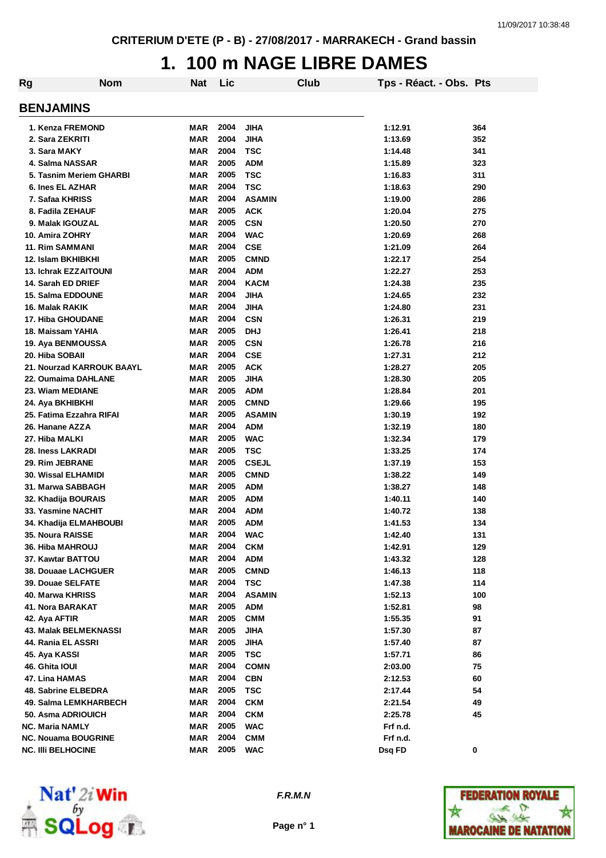#### **1. 100 m NAGE LIBRE DAMES**

| Rg | <b>Nom</b>                 | Nat        | Lic  |               | Club | Tps - Réact. - Obs. Pts |     |
|----|----------------------------|------------|------|---------------|------|-------------------------|-----|
|    | <b>BENJAMINS</b>           |            |      |               |      |                         |     |
|    | 1. Kenza FREMOND           | MAR        | 2004 | JIHA          |      | 1:12.91                 | 364 |
|    | 2. Sara ZEKRITI            | <b>MAR</b> | 2004 | <b>JIHA</b>   |      | 1:13.69                 | 352 |
|    | 3. Sara MAKY               | <b>MAR</b> | 2004 | <b>TSC</b>    |      | 1:14.48                 | 341 |
|    | 4. Salma NASSAR            | <b>MAR</b> | 2005 | <b>ADM</b>    |      | 1:15.89                 | 323 |
|    | 5. Tasnim Meriem GHARBI    | <b>MAR</b> | 2005 | <b>TSC</b>    |      | 1:16.83                 | 311 |
|    | 6. Ines EL AZHAR           | MAR        | 2004 | <b>TSC</b>    |      | 1:18.63                 | 290 |
|    | 7. Safaa KHRISS            | <b>MAR</b> | 2004 | <b>ASAMIN</b> |      | 1:19.00                 | 286 |
|    | 8. Fadila ZEHAUF           | <b>MAR</b> | 2005 | <b>ACK</b>    |      | 1:20.04                 | 275 |
|    | 9. Malak IGOUZAL           | <b>MAR</b> | 2005 | <b>CSN</b>    |      | 1:20.50                 | 270 |
|    | 10. Amira ZOHRY            | <b>MAR</b> | 2004 | <b>WAC</b>    |      | 1:20.69                 | 268 |
|    | <b>11. Rim SAMMANI</b>     | <b>MAR</b> | 2004 | <b>CSE</b>    |      | 1:21.09                 | 264 |
|    | 12. Islam BKHIBKHI         | MAR        | 2005 | <b>CMND</b>   |      | 1:22.17                 | 254 |
|    | 13. Ichrak EZZAITOUNI      | <b>MAR</b> | 2004 | <b>ADM</b>    |      | 1:22.27                 | 253 |
|    | 14. Sarah ED DRIEF         | <b>MAR</b> | 2004 | <b>KACM</b>   |      | 1:24.38                 | 235 |
|    | 15. Salma EDDOUNE          | <b>MAR</b> | 2004 | <b>JIHA</b>   |      | 1:24.65                 | 232 |
|    | 16. Malak RAKIK            | <b>MAR</b> | 2004 | <b>JIHA</b>   |      | 1:24.80                 | 231 |
|    | 17. Hiba GHOUDANE          | <b>MAR</b> | 2004 | <b>CSN</b>    |      | 1:26.31                 | 219 |
|    | 18. Maissam YAHIA          | <b>MAR</b> | 2005 | <b>DHJ</b>    |      | 1:26.41                 | 218 |
|    | 19. Aya BENMOUSSA          | <b>MAR</b> | 2005 | <b>CSN</b>    |      | 1:26.78                 | 216 |
|    | 20. Hiba SOBAII            | <b>MAR</b> | 2004 | <b>CSE</b>    |      | 1:27.31                 | 212 |
|    | 21. Nourzad KARROUK BAAYL  | <b>MAR</b> | 2005 | <b>ACK</b>    |      | 1:28.27                 | 205 |
|    | 22. Oumaima DAHLANE        | <b>MAR</b> | 2005 | JIHA          |      | 1:28.30                 | 205 |
|    | 23. Wiam MEDIANE           | <b>MAR</b> | 2005 | <b>ADM</b>    |      | 1:28.84                 | 201 |
|    | 24. Aya BKHIBKHI           | <b>MAR</b> | 2005 | <b>CMND</b>   |      | 1:29.66                 | 195 |
|    | 25. Fatima Ezzahra RIFAI   | <b>MAR</b> | 2005 | <b>ASAMIN</b> |      | 1:30.19                 | 192 |
|    | 26. Hanane AZZA            | <b>MAR</b> | 2004 | <b>ADM</b>    |      | 1:32.19                 | 180 |
|    | 27. Hiba MALKI             | <b>MAR</b> | 2005 | <b>WAC</b>    |      | 1:32.34                 | 179 |
|    | 28. Iness LAKRADI          | <b>MAR</b> | 2005 | <b>TSC</b>    |      | 1:33.25                 | 174 |
|    | <b>29. Rim JEBRANE</b>     | <b>MAR</b> | 2005 | <b>CSEJL</b>  |      | 1:37.19                 | 153 |
|    | 30. Wissal ELHAMIDI        | <b>MAR</b> | 2005 | <b>CMND</b>   |      | 1:38.22                 | 149 |
|    | 31. Marwa SABBAGH          | <b>MAR</b> | 2005 | <b>ADM</b>    |      | 1:38.27                 | 148 |
|    | 32. Khadija BOURAIS        | MAR        | 2005 | <b>ADM</b>    |      | 1:40.11                 | 140 |
|    | 33. Yasmine NACHIT         | MAR        | 2004 | <b>ADM</b>    |      | 1:40.72                 | 138 |
|    | 34. Khadija ELMAHBOUBI     | MAR        | 2005 | <b>ADM</b>    |      | 1:41.53                 | 134 |
|    | 35. Noura RAISSE           | MAR        | 2004 | <b>WAC</b>    |      | 1:42.40                 | 131 |
|    | <b>36. Hiba MAHROUJ</b>    | MAR        | 2004 | <b>CKM</b>    |      | 1:42.91                 | 129 |
|    | 37. Kawtar BATTOU          | MAR        | 2004 | <b>ADM</b>    |      | 1:43.32                 | 128 |
|    | 38. Douaae LACHGUER        | MAR        | 2005 | <b>CMND</b>   |      | 1:46.13                 | 118 |
|    | 39. Douae SELFATE          | MAR        | 2004 | TSC           |      | 1:47.38                 | 114 |
|    | 40. Marwa KHRISS           | MAR        | 2004 | <b>ASAMIN</b> |      | 1:52.13                 | 100 |
|    | 41. Nora BARAKAT           | <b>MAR</b> | 2005 | <b>ADM</b>    |      | 1:52.81                 | 98  |
|    | 42. Aya AFTIR              | <b>MAR</b> | 2005 | <b>CMM</b>    |      | 1:55.35                 | 91  |
|    | 43. Malak BELMEKNASSI      | MAR        | 2005 | JIHA          |      | 1:57.30                 | 87  |
|    | 44. Rania EL ASSRI         | MAR        | 2005 | <b>JIHA</b>   |      | 1:57.40                 | 87  |
|    | 45. Aya KASSI              | MAR        | 2005 | <b>TSC</b>    |      | 1:57.71                 | 86  |
|    | 46. Ghita IOUI             | MAR        | 2004 | <b>COMN</b>   |      | 2:03.00                 | 75  |
|    | 47. Lina HAMAS             | <b>MAR</b> | 2004 | <b>CBN</b>    |      | 2:12.53                 | 60  |
|    | 48. Sabrine ELBEDRA        | <b>MAR</b> | 2005 | <b>TSC</b>    |      | 2:17.44                 | 54  |
|    | 49. Salma LEMKHARBECH      | MAR        | 2004 | <b>CKM</b>    |      | 2:21.54                 | 49  |
|    | 50. Asma ADRIOUICH         | <b>MAR</b> | 2004 | <b>CKM</b>    |      | 2:25.78                 | 45  |
|    | <b>NC. Maria NAMLY</b>     | MAR        | 2005 | <b>WAC</b>    |      | Frf n.d.                |     |
|    | <b>NC. Nouama BOUGRINE</b> | <b>MAR</b> | 2004 | <b>CMM</b>    |      | Frf n.d.                |     |
|    | <b>NC. IIII BELHOCINE</b>  | MAR        | 2005 | <b>WAC</b>    |      | Dsq FD                  | 0   |



*F.R.M.N*

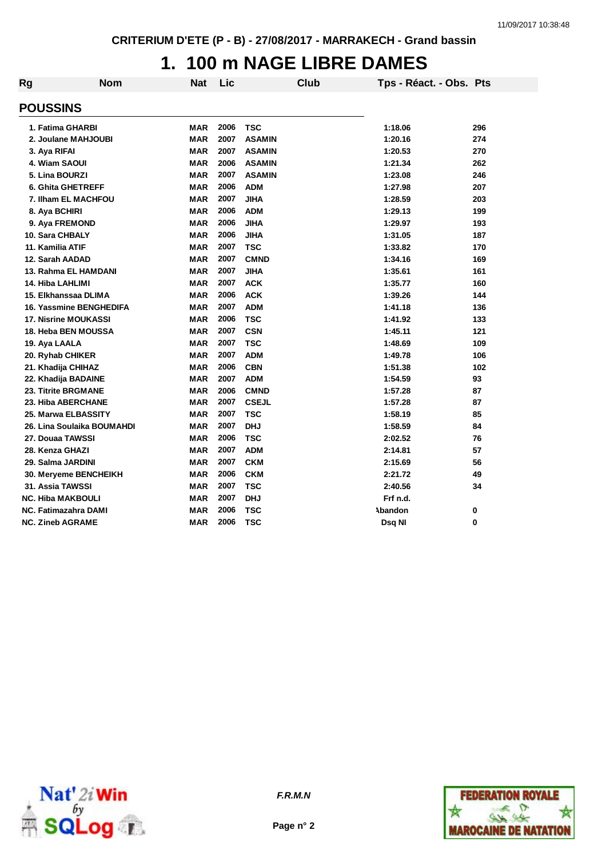#### **1. 100 m NAGE LIBRE DAMES**

| Rg | <b>Nom</b>                  | <b>Nat</b> | Lic  | <b>Club</b>   | Tps - Réact. - Obs. Pts |     |
|----|-----------------------------|------------|------|---------------|-------------------------|-----|
|    | <b>POUSSINS</b>             |            |      |               |                         |     |
|    | 1. Fatima GHARBI            | MAR        | 2006 | <b>TSC</b>    | 1:18.06                 | 296 |
|    | 2. Joulane MAHJOUBI         | <b>MAR</b> | 2007 | <b>ASAMIN</b> | 1:20.16                 | 274 |
|    | 3. Aya RIFAI                | <b>MAR</b> | 2007 | <b>ASAMIN</b> | 1:20.53                 | 270 |
|    | 4. Wiam SAOUI               | <b>MAR</b> | 2006 | <b>ASAMIN</b> | 1:21.34                 | 262 |
|    | 5. Lina BOURZI              | <b>MAR</b> | 2007 | <b>ASAMIN</b> | 1:23.08                 | 246 |
|    | <b>6. Ghita GHETREFF</b>    | <b>MAR</b> | 2006 | <b>ADM</b>    | 1:27.98                 | 207 |
|    | 7. Ilham EL MACHFOU         | <b>MAR</b> | 2007 | <b>JIHA</b>   | 1:28.59                 | 203 |
|    | 8. Aya BCHIRI               | <b>MAR</b> | 2006 | <b>ADM</b>    | 1:29.13                 | 199 |
|    | 9. Aya FREMOND              | <b>MAR</b> | 2006 | <b>JIHA</b>   | 1:29.97                 | 193 |
|    | 10. Sara CHBALY             | <b>MAR</b> | 2006 | <b>JIHA</b>   | 1:31.05                 | 187 |
|    | 11. Kamilia ATIF            | <b>MAR</b> | 2007 | <b>TSC</b>    | 1:33.82                 | 170 |
|    | 12. Sarah AADAD             | <b>MAR</b> | 2007 | <b>CMND</b>   | 1:34.16                 | 169 |
|    | 13. Rahma EL HAMDANI        | <b>MAR</b> | 2007 | <b>JIHA</b>   | 1:35.61                 | 161 |
|    | 14. Hiba LAHLIMI            | <b>MAR</b> | 2007 | <b>ACK</b>    | 1:35.77                 | 160 |
|    | 15. Elkhanssaa DLIMA        | <b>MAR</b> | 2006 | <b>ACK</b>    | 1:39.26                 | 144 |
|    | 16. Yassmine BENGHEDIFA     | <b>MAR</b> | 2007 | <b>ADM</b>    | 1:41.18                 | 136 |
|    | <b>17. Nisrine MOUKASSI</b> | <b>MAR</b> | 2006 | <b>TSC</b>    | 1:41.92                 | 133 |
|    | 18. Heba BEN MOUSSA         | <b>MAR</b> | 2007 | <b>CSN</b>    | 1:45.11                 | 121 |
|    | 19. Aya LAALA               | <b>MAR</b> | 2007 | <b>TSC</b>    | 1:48.69                 | 109 |
|    | 20. Ryhab CHIKER            | <b>MAR</b> | 2007 | <b>ADM</b>    | 1:49.78                 | 106 |
|    | 21. Khadija CHIHAZ          | <b>MAR</b> | 2006 | <b>CBN</b>    | 1:51.38                 | 102 |
|    | 22. Khadija BADAINE         | <b>MAR</b> | 2007 | <b>ADM</b>    | 1:54.59                 | 93  |
|    | 23. Titrite BRGMANE         | <b>MAR</b> | 2006 | <b>CMND</b>   | 1:57.28                 | 87  |
|    | 23. Hiba ABERCHANE          | <b>MAR</b> | 2007 | <b>CSEJL</b>  | 1:57.28                 | 87  |
|    | 25. Marwa ELBASSITY         | <b>MAR</b> | 2007 | <b>TSC</b>    | 1:58.19                 | 85  |
|    | 26. Lina Soulaika BOUMAHDI  | <b>MAR</b> | 2007 | <b>DHJ</b>    | 1:58.59                 | 84  |
|    | 27. Douaa TAWSSI            | <b>MAR</b> | 2006 | <b>TSC</b>    | 2:02.52                 | 76  |
|    | 28. Kenza GHAZI             | <b>MAR</b> | 2007 | <b>ADM</b>    | 2:14.81                 | 57  |
|    | 29. Salma JARDINI           | <b>MAR</b> | 2007 | <b>CKM</b>    | 2:15.69                 | 56  |
|    | 30. Meryeme BENCHEIKH       | <b>MAR</b> | 2006 | <b>CKM</b>    | 2:21.72                 | 49  |
|    | 31. Assia TAWSSI            | <b>MAR</b> | 2007 | <b>TSC</b>    | 2:40.56                 | 34  |
|    | <b>NC. Hiba MAKBOULI</b>    | <b>MAR</b> | 2007 | <b>DHJ</b>    | Frf n.d.                |     |
|    | NC. Fatimazahra DAMI        | MAR        | 2006 | <b>TSC</b>    | Abandon                 | 0   |
|    | <b>NC. Zineb AGRAME</b>     | MAR        | 2006 | <b>TSC</b>    | Dsq NI                  | 0   |



**Page n° 2**

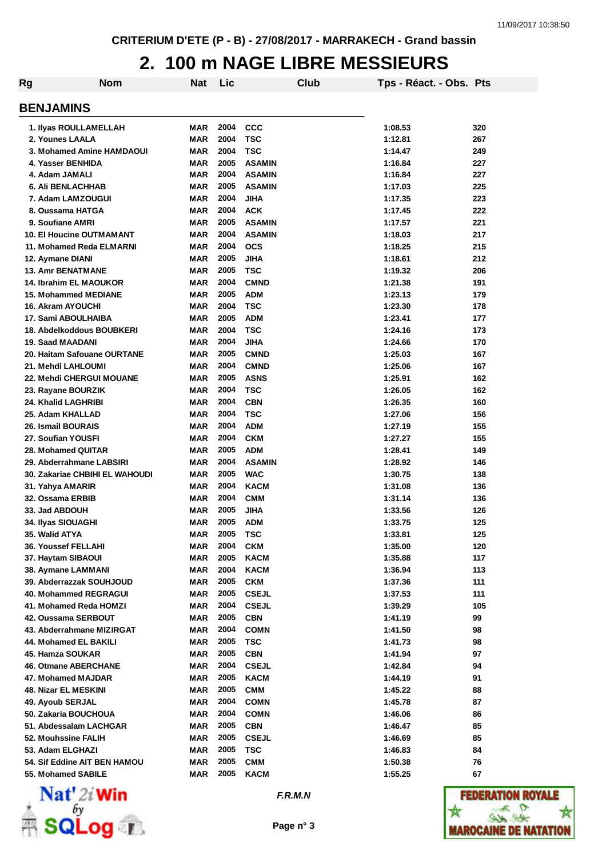#### **2. 100 m NAGE LIBRE MESSIEURS**

| Rg                                   | <b>Nom</b> | <b>Nat</b>               | Lic          |                           | Club | Tps - Réact. - Obs. Pts |            |
|--------------------------------------|------------|--------------------------|--------------|---------------------------|------|-------------------------|------------|
| <b>BENJAMINS</b>                     |            |                          |              |                           |      |                         |            |
| 1. Ilyas ROULLAMELLAH                |            | MAR                      | 2004         | <b>CCC</b>                |      | 1:08.53                 | 320        |
| 2. Younes LAALA                      |            | MAR                      | 2004         | <b>TSC</b>                |      | 1:12.81                 | 267        |
| 3. Mohamed Amine HAMDAOUI            |            | <b>MAR</b>               | 2004         | <b>TSC</b>                |      | 1:14.47                 | 249        |
| 4. Yasser BENHIDA                    |            | <b>MAR</b>               | 2005         | <b>ASAMIN</b>             |      | 1:16.84                 | 227        |
| 4. Adam JAMALI                       |            | <b>MAR</b>               | 2004         | <b>ASAMIN</b>             |      | 1:16.84                 | 227        |
| <b>6. Ali BENLACHHAB</b>             |            | <b>MAR</b>               | 2005         | <b>ASAMIN</b>             |      | 1:17.03                 | 225        |
| 7. Adam LAMZOUGUI                    |            | <b>MAR</b>               | 2004         | <b>JIHA</b>               |      | 1:17.35                 | 223        |
| 8. Oussama HATGA                     |            | <b>MAR</b>               | 2004         | <b>ACK</b>                |      | 1:17.45                 | 222        |
| 9. Soufiane AMRI                     |            | <b>MAR</b>               | 2005         | <b>ASAMIN</b>             |      | 1:17.57                 | 221        |
| <b>10. El Houcine OUTMAMANT</b>      |            | <b>MAR</b>               | 2004         | <b>ASAMIN</b>             |      | 1:18.03                 | 217        |
| 11. Mohamed Reda ELMARNI             |            | <b>MAR</b>               | 2004         | <b>OCS</b>                |      | 1:18.25                 | 215        |
| 12. Aymane DIANI                     |            | <b>MAR</b>               | 2005         | JIHA                      |      | 1:18.61                 | 212        |
| <b>13. Amr BENATMANE</b>             |            | <b>MAR</b>               | 2005         | <b>TSC</b>                |      | 1:19.32                 | 206        |
| <b>14. Ibrahim EL MAOUKOR</b>        |            | <b>MAR</b>               | 2004         | <b>CMND</b>               |      | 1:21.38                 | 191        |
| <b>15. Mohammed MEDIANE</b>          |            | <b>MAR</b>               | 2005         | <b>ADM</b>                |      | 1:23.13                 | 179        |
| <b>16. Akram AYOUCHI</b>             |            | <b>MAR</b>               | 2004         | <b>TSC</b>                |      | 1:23.30                 | 178        |
| 17. Sami ABOULHAIBA                  |            | <b>MAR</b>               | 2005         | <b>ADM</b>                |      | 1:23.41                 | 177        |
| 18. Abdelkoddous BOUBKERI            |            | MAR                      | 2004         | <b>TSC</b>                |      | 1:24.16                 | 173        |
| <b>19. Saad MAADANI</b>              |            | <b>MAR</b>               | 2004         | <b>JIHA</b>               |      | 1:24.66                 | 170        |
| 20. Haitam Safouane OURTANE          |            | MAR                      | 2005         | <b>CMND</b>               |      | 1:25.03                 | 167        |
| 21. Mehdi LAHLOUMI                   |            | MAR                      | 2004         | <b>CMND</b>               |      | 1:25.06                 | 167        |
| 22. Mehdi CHERGUI MOUANE             |            | MAR                      | 2005         | <b>ASNS</b>               |      | 1:25.91                 | 162        |
| 23. Rayane BOURZIK                   |            | MAR                      | 2004         | <b>TSC</b>                |      | 1:26.05                 | 162        |
| 24. Khalid LAGHRIBI                  |            | MAR                      | 2004         | <b>CBN</b>                |      | 1:26.35                 | 160        |
| 25. Adam KHALLAD                     |            | <b>MAR</b>               | 2004         | <b>TSC</b>                |      | 1:27.06                 | 156        |
| <b>26. Ismail BOURAIS</b>            |            | <b>MAR</b>               | 2004         | <b>ADM</b>                |      | 1:27.19                 | 155        |
| 27. Soufian YOUSFI                   |            | MAR                      | 2004         | <b>CKM</b>                |      | 1:27.27                 | 155        |
| 28. Mohamed QUITAR                   |            | MAR                      | 2005         | <b>ADM</b>                |      | 1:28.41                 | 149        |
| 29. Abderrahmane LABSIRI             |            | MAR                      | 2004         | <b>ASAMIN</b>             |      | 1:28.92                 | 146        |
| 30. Zakariae CHBIHI EL WAHOUDI       |            | <b>MAR</b>               | 2005<br>2004 | <b>WAC</b>                |      | 1:30.75                 | 138        |
| 31. Yahya AMARIR<br>32. Ossama ERBIB |            | <b>MAR</b><br><b>MAR</b> | 2004         | <b>KACM</b><br><b>CMM</b> |      | 1:31.08<br>1:31.14      | 136<br>136 |
| 33. Jad ABDOUH                       |            | MAR                      | 2005         | <b>JIHA</b>               |      | 1:33.56                 | 126        |
| 34. Ilyas SIOUAGHI                   |            | <b>MAR</b>               | 2005         | <b>ADM</b>                |      | 1:33.75                 | 125        |
| 35. Walid ATYA                       |            | MAR                      | 2005         | TSC                       |      | 1:33.81                 | 125        |
| 36. Youssef FELLAHI                  |            | MAR                      | 2004         | <b>CKM</b>                |      | 1:35.00                 | 120        |
| 37. Haytam SIBAOUI                   |            | MAR                      | 2005         | <b>KACM</b>               |      | 1:35.88                 | 117        |
| 38. Aymane LAMMANI                   |            | MAR                      | 2004         | <b>KACM</b>               |      | 1:36.94                 | 113        |
| 39. Abderrazzak SOUHJOUD             |            | <b>MAR</b>               | 2005         | <b>CKM</b>                |      | 1:37.36                 | 111        |
| 40. Mohammed REGRAGUI                |            | MAR                      | 2005         | <b>CSEJL</b>              |      | 1:37.53                 | 111        |
| 41. Mohamed Reda HOMZI               |            | MAR                      | 2004         | <b>CSEJL</b>              |      | 1:39.29                 | 105        |
| 42. Oussama SERBOUT                  |            | MAR                      | 2005         | <b>CBN</b>                |      | 1:41.19                 | 99         |
| 43. Abderrahmane MIZIRGAT            |            | MAR                      | 2004         | <b>COMN</b>               |      | 1:41.50                 | 98         |
| 44. Mohamed EL BAKILI                |            | <b>MAR</b>               | 2005         | <b>TSC</b>                |      | 1:41.73                 | 98         |
| 45. Hamza SOUKAR                     |            | <b>MAR</b>               | 2005         | <b>CBN</b>                |      | 1:41.94                 | 97         |
| <b>46. Otmane ABERCHANE</b>          |            | MAR                      | 2004         | <b>CSEJL</b>              |      | 1:42.84                 | 94         |
| 47. Mohamed MAJDAR                   |            | MAR                      | 2005         | <b>KACM</b>               |      | 1:44.19                 | 91         |
| 48. Nizar EL MESKINI                 |            | MAR                      | 2005         | <b>CMM</b>                |      | 1:45.22                 | 88         |
| 49. Ayoub SERJAL                     |            | MAR                      | 2004         | <b>COMN</b>               |      | 1:45.78                 | 87         |
| 50. Zakaria BOUCHOUA                 |            | MAR                      | 2004         | <b>COMN</b>               |      | 1:46.06                 | 86         |
| 51. Abdessalam LACHGAR               |            | MAR                      | 2005         | <b>CBN</b>                |      | 1:46.47                 | 85         |
| 52. Mouhssine FALIH                  |            | MAR                      | 2005         | <b>CSEJL</b>              |      | 1:46.69                 | 85         |
| 53. Adam ELGHAZI                     |            | MAR                      | 2005         | <b>TSC</b>                |      | 1:46.83                 | 84         |
| 54. Sif Eddine AIT BEN HAMOU         |            | MAR                      | 2005         | <b>CMM</b>                |      | 1:50.38                 | 76         |
| 55. Mohamed SABILE                   |            | MAR                      | 2005         | <b>KACM</b>               |      | 1:55.25                 | 67         |



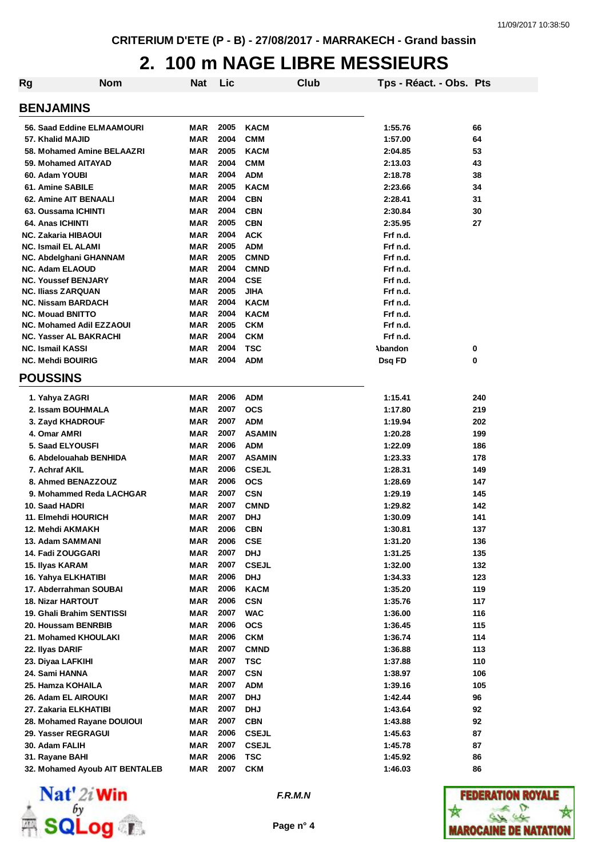#### **2. 100 m NAGE LIBRE MESSIEURS**

| Rg                              | <b>Nom</b>                     | <b>Nat</b> | Lic  |               | Club | Tps - Réact. - Obs. Pts |     |
|---------------------------------|--------------------------------|------------|------|---------------|------|-------------------------|-----|
|                                 |                                |            |      |               |      |                         |     |
| <b>BENJAMINS</b>                |                                |            |      |               |      |                         |     |
| 56. Saad Eddine ELMAAMOURI      |                                | <b>MAR</b> | 2005 | <b>KACM</b>   |      | 1:55.76                 | 66  |
| 57. Khalid MAJID                |                                | <b>MAR</b> | 2004 | <b>CMM</b>    |      | 1:57.00                 | 64  |
| 58. Mohamed Amine BELAAZRI      |                                | <b>MAR</b> | 2005 | <b>KACM</b>   |      | 2:04.85                 | 53  |
| 59. Mohamed AITAYAD             |                                | <b>MAR</b> | 2004 | <b>CMM</b>    |      | 2:13.03                 | 43  |
| 60. Adam YOUBI                  |                                | MAR        | 2004 | <b>ADM</b>    |      | 2:18.78                 | 38  |
| 61. Amine SABILE                |                                | MAR        | 2005 | <b>KACM</b>   |      | 2:23.66                 | 34  |
| 62. Amine AIT BENAALI           |                                | <b>MAR</b> | 2004 | <b>CBN</b>    |      | 2:28.41                 | 31  |
| 63. Oussama ICHINTI             |                                | <b>MAR</b> | 2004 | <b>CBN</b>    |      | 2:30.84                 | 30  |
| 64. Anas ICHINTI                |                                | MAR        | 2005 | <b>CBN</b>    |      | 2:35.95                 | 27  |
| <b>NC. Zakaria HIBAOUI</b>      |                                | <b>MAR</b> | 2004 | <b>ACK</b>    |      | Frf n.d.                |     |
| <b>NC. Ismail EL ALAMI</b>      |                                | <b>MAR</b> | 2005 | <b>ADM</b>    |      | Frf n.d.                |     |
| NC. Abdelghani GHANNAM          |                                | <b>MAR</b> | 2005 | <b>CMND</b>   |      | Frf n.d.                |     |
| <b>NC. Adam ELAOUD</b>          |                                | <b>MAR</b> | 2004 | <b>CMND</b>   |      | Frf n.d.                |     |
| <b>NC. Youssef BENJARY</b>      |                                | <b>MAR</b> | 2004 | <b>CSE</b>    |      | Frf n.d.                |     |
| <b>NC. Iliass ZARQUAN</b>       |                                | MAR        | 2005 | <b>JIHA</b>   |      | Frf n.d.                |     |
| <b>NC. Nissam BARDACH</b>       |                                | <b>MAR</b> | 2004 | <b>KACM</b>   |      | Frf n.d.                |     |
| <b>NC. Mouad BNITTO</b>         |                                | <b>MAR</b> | 2004 | <b>KACM</b>   |      | Frf n.d.                |     |
| <b>NC. Mohamed Adil EZZAOUI</b> |                                | MAR        | 2005 | <b>CKM</b>    |      | Frf n.d.                |     |
| <b>NC. Yasser AL BAKRACHI</b>   |                                | MAR        | 2004 | <b>CKM</b>    |      | Frf n.d.                |     |
| <b>NC. Ismail KASSI</b>         |                                | <b>MAR</b> | 2004 | TSC           |      | Abandon                 | 0   |
| <b>NC. Mehdi BOUIRIG</b>        |                                | <b>MAR</b> | 2004 | <b>ADM</b>    |      | Dsq FD                  | 0   |
| <b>POUSSINS</b>                 |                                |            |      |               |      |                         |     |
| 1. Yahya ZAGRI                  |                                | MAR        | 2006 | <b>ADM</b>    |      | 1:15.41                 | 240 |
| 2. Issam BOUHMALA               |                                | <b>MAR</b> | 2007 | <b>OCS</b>    |      | 1:17.80                 | 219 |
| 3. Zayd KHADROUF                |                                | <b>MAR</b> | 2007 | <b>ADM</b>    |      | 1:19.94                 | 202 |
| 4. Omar AMRI                    |                                | <b>MAR</b> | 2007 | <b>ASAMIN</b> |      | 1:20.28                 | 199 |
| 5. Saad ELYOUSFI                |                                | <b>MAR</b> | 2006 | <b>ADM</b>    |      | 1:22.09                 | 186 |
| 6. Abdelouahab BENHIDA          |                                | <b>MAR</b> | 2007 | <b>ASAMIN</b> |      | 1:23.33                 | 178 |
| 7. Achraf AKIL                  |                                | <b>MAR</b> | 2006 | <b>CSEJL</b>  |      |                         | 149 |
| 8. Ahmed BENAZZOUZ              |                                | MAR        | 2006 | <b>OCS</b>    |      | 1:28.31<br>1:28.69      | 147 |
| 9. Mohammed Reda LACHGAR        |                                |            | 2007 |               |      |                         |     |
|                                 |                                | MAR        |      | <b>CSN</b>    |      | 1:29.19                 | 145 |
| 10. Saad HADRI                  |                                | MAR        | 2007 | <b>CMND</b>   |      | 1:29.82                 | 142 |
| 11. Elmehdi HOURICH             |                                | MAR        | 2007 | <b>DHJ</b>    |      | 1:30.09                 | 141 |
| 12. Mehdi AKMAKH                |                                | <b>MAR</b> | 2006 | <b>CBN</b>    |      | 1:30.81                 | 137 |
| 13. Adam SAMMANI                |                                | MAR        | 2006 | <b>CSE</b>    |      | 1:31.20                 | 136 |
| 14. Fadi ZOUGGARI               |                                | <b>MAR</b> | 2007 | <b>DHJ</b>    |      | 1:31.25                 | 135 |
| 15. Ilyas KARAM                 |                                | <b>MAR</b> | 2007 | <b>CSEJL</b>  |      | 1:32.00                 | 132 |
| 16. Yahya ELKHATIBI             |                                | <b>MAR</b> | 2006 | <b>DHJ</b>    |      | 1:34.33                 | 123 |
| 17. Abderrahman SOUBAI          |                                | MAR        | 2006 | <b>KACM</b>   |      | 1:35.20                 | 119 |
| <b>18. Nizar HARTOUT</b>        |                                | <b>MAR</b> | 2006 | <b>CSN</b>    |      | 1:35.76                 | 117 |
| 19. Ghali Brahim SENTISSI       |                                | <b>MAR</b> | 2007 | <b>WAC</b>    |      | 1:36.00                 | 116 |
| 20. Houssam BENRBIB             |                                | <b>MAR</b> | 2006 | <b>OCS</b>    |      | 1:36.45                 | 115 |
| 21. Mohamed KHOULAKI            |                                | <b>MAR</b> | 2006 | <b>CKM</b>    |      | 1:36.74                 | 114 |
| 22. Ilyas DARIF                 |                                | <b>MAR</b> | 2007 | <b>CMND</b>   |      | 1:36.88                 | 113 |
| 23. Diyaa LAFKIHI               |                                | <b>MAR</b> | 2007 | <b>TSC</b>    |      | 1:37.88                 | 110 |
| 24. Sami HANNA                  |                                | <b>MAR</b> | 2007 | <b>CSN</b>    |      | 1:38.97                 | 106 |
| 25. Hamza KOHAILA               |                                | <b>MAR</b> | 2007 | <b>ADM</b>    |      | 1:39.16                 | 105 |
| 26. Adam EL AIROUKI             |                                | <b>MAR</b> | 2007 | <b>DHJ</b>    |      | 1:42.44                 | 96  |
| 27. Zakaria ELKHATIBI           |                                | <b>MAR</b> | 2007 | <b>DHJ</b>    |      | 1:43.64                 | 92  |
| 28. Mohamed Rayane DOUIOUI      |                                | <b>MAR</b> | 2007 | <b>CBN</b>    |      | 1:43.88                 | 92  |
| 29. Yasser REGRAGUI             |                                | <b>MAR</b> | 2006 | <b>CSEJL</b>  |      | 1:45.63                 | 87  |
| 30. Adam FALIH                  |                                | <b>MAR</b> | 2007 | <b>CSEJL</b>  |      | 1:45.78                 | 87  |
| 31. Rayane BAHI                 |                                | <b>MAR</b> | 2006 | <b>TSC</b>    |      | 1:45.92                 | 86  |
|                                 | 32. Mohamed Ayoub AIT BENTALEB | <b>MAR</b> | 2007 | <b>CKM</b>    |      | 1:46.03                 | 86  |



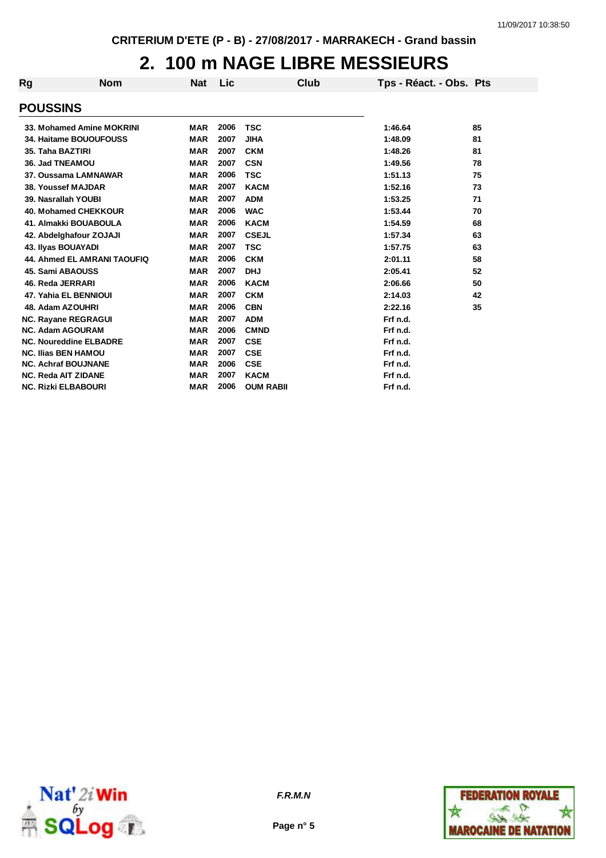## **2. 100 m NAGE LIBRE MESSIEURS**

| Rg | <b>Nom</b>                         | Nat        | Lic  | Club             | Tps - Réact. - Obs. Pts |    |
|----|------------------------------------|------------|------|------------------|-------------------------|----|
|    | <b>POUSSINS</b>                    |            |      |                  |                         |    |
|    | 33. Mohamed Amine MOKRINI          | <b>MAR</b> | 2006 | <b>TSC</b>       | 1:46.64                 | 85 |
|    | 34. Haitame BOUOUFOUSS             | <b>MAR</b> | 2007 | <b>JIHA</b>      | 1:48.09                 | 81 |
|    | 35. Taha BAZTIRI                   | <b>MAR</b> | 2007 | <b>CKM</b>       | 1:48.26                 | 81 |
|    | 36. Jad TNEAMOU                    | <b>MAR</b> | 2007 | <b>CSN</b>       | 1:49.56                 | 78 |
|    | 37. Oussama LAMNAWAR               | <b>MAR</b> | 2006 | <b>TSC</b>       | 1:51.13                 | 75 |
|    | 38. Youssef MAJDAR                 | <b>MAR</b> | 2007 | <b>KACM</b>      | 1:52.16                 | 73 |
|    | 39. Nasrallah YOUBI                | <b>MAR</b> | 2007 | <b>ADM</b>       | 1:53.25                 | 71 |
|    | 40. Mohamed CHEKKOUR               | <b>MAR</b> | 2006 | <b>WAC</b>       | 1:53.44                 | 70 |
|    | 41. Almakki BOUABOULA              | <b>MAR</b> | 2006 | <b>KACM</b>      | 1:54.59                 | 68 |
|    | 42. Abdelghafour ZOJAJI            | <b>MAR</b> | 2007 | <b>CSEJL</b>     | 1:57.34                 | 63 |
|    | 43. Ilyas BOUAYADI                 | <b>MAR</b> | 2007 | <b>TSC</b>       | 1:57.75                 | 63 |
|    | <b>44. Ahmed EL AMRANI TAOUFIQ</b> | <b>MAR</b> | 2006 | <b>CKM</b>       | 2:01.11                 | 58 |
|    | 45. Sami ABAOUSS                   | <b>MAR</b> | 2007 | <b>DHJ</b>       | 2:05.41                 | 52 |
|    | 46. Reda JERRARI                   | <b>MAR</b> | 2006 | <b>KACM</b>      | 2:06.66                 | 50 |
|    | <b>47. Yahia EL BENNIOUI</b>       | <b>MAR</b> | 2007 | <b>CKM</b>       | 2:14.03                 | 42 |
|    | 48. Adam AZOUHRI                   | <b>MAR</b> | 2006 | <b>CBN</b>       | 2:22.16                 | 35 |
|    | <b>NC. Rayane REGRAGUI</b>         | <b>MAR</b> | 2007 | <b>ADM</b>       | Frf n.d.                |    |
|    | <b>NC. Adam AGOURAM</b>            | <b>MAR</b> | 2006 | <b>CMND</b>      | Frf n.d.                |    |
|    | <b>NC. Noureddine ELBADRE</b>      | <b>MAR</b> | 2007 | <b>CSE</b>       | Frf n.d.                |    |
|    | <b>NC. Ilias BEN HAMOU</b>         | <b>MAR</b> | 2007 | <b>CSE</b>       | Frf n.d.                |    |
|    | <b>NC. Achraf BOUJNANE</b>         | <b>MAR</b> | 2006 | <b>CSE</b>       | Frf n.d.                |    |
|    | <b>NC. Reda AIT ZIDANE</b>         | <b>MAR</b> | 2007 | <b>KACM</b>      | Frf n.d.                |    |
|    | <b>NC. Rizki ELBABOURI</b>         | <b>MAR</b> | 2006 | <b>OUM RABII</b> | Frf n.d.                |    |





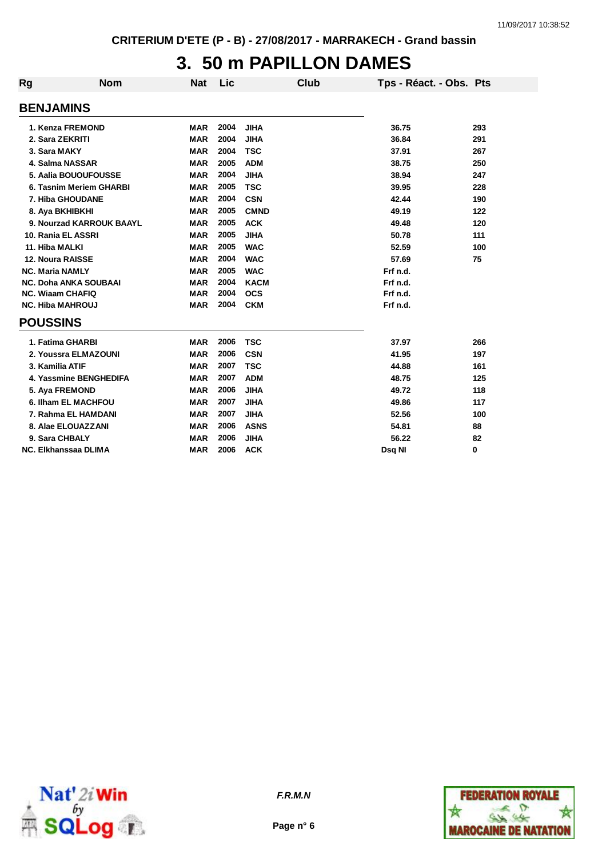## **3. 50 m PAPILLON DAMES**

| <b>Rg</b> | <b>Nom</b>                   | <b>Nat</b> | Lic  | Club        | Tps - Réact. - Obs. Pts |     |
|-----------|------------------------------|------------|------|-------------|-------------------------|-----|
|           | <b>BENJAMINS</b>             |            |      |             |                         |     |
|           | 1. Kenza FREMOND             | <b>MAR</b> | 2004 | <b>JIHA</b> | 36.75                   | 293 |
|           | 2. Sara ZEKRITI              | <b>MAR</b> | 2004 | <b>JIHA</b> | 36.84                   | 291 |
|           | 3. Sara MAKY                 | <b>MAR</b> | 2004 | <b>TSC</b>  | 37.91                   | 267 |
|           | 4. Salma NASSAR              | <b>MAR</b> | 2005 | <b>ADM</b>  | 38.75                   | 250 |
|           | 5. Aalia BOUOUFOUSSE         | <b>MAR</b> | 2004 | <b>JIHA</b> | 38.94                   | 247 |
|           | 6. Tasnim Meriem GHARBI      | <b>MAR</b> | 2005 | <b>TSC</b>  | 39.95                   | 228 |
|           | 7. Hiba GHOUDANE             | <b>MAR</b> | 2004 | <b>CSN</b>  | 42.44                   | 190 |
|           | 8. Aya BKHIBKHI              | <b>MAR</b> | 2005 | <b>CMND</b> | 49.19                   | 122 |
|           | 9. Nourzad KARROUK BAAYL     | <b>MAR</b> | 2005 | <b>ACK</b>  | 49.48                   | 120 |
|           | 10. Rania EL ASSRI           | <b>MAR</b> | 2005 | <b>JIHA</b> | 50.78                   | 111 |
|           | 11. Hiba MALKI               | <b>MAR</b> | 2005 | <b>WAC</b>  | 52.59                   | 100 |
|           | <b>12. Noura RAISSE</b>      | <b>MAR</b> | 2004 | <b>WAC</b>  | 57.69                   | 75  |
|           | <b>NC. Maria NAMLY</b>       | <b>MAR</b> | 2005 | <b>WAC</b>  | Frf n.d.                |     |
|           | <b>NC. Doha ANKA SOUBAAI</b> | <b>MAR</b> | 2004 | <b>KACM</b> | Frf n.d.                |     |
|           | <b>NC. Wiaam CHAFIQ</b>      | <b>MAR</b> | 2004 | <b>OCS</b>  | Frf n.d.                |     |
|           | <b>NC. Hiba MAHROUJ</b>      | <b>MAR</b> | 2004 | <b>CKM</b>  | Frf n.d.                |     |
|           | <b>POUSSINS</b>              |            |      |             |                         |     |
|           | 1. Fatima GHARBI             | <b>MAR</b> | 2006 | <b>TSC</b>  | 37.97                   | 266 |
|           | 2. Youssra ELMAZOUNI         | <b>MAR</b> | 2006 | <b>CSN</b>  | 41.95                   | 197 |
|           | 3. Kamilia ATIF              | <b>MAR</b> | 2007 | <b>TSC</b>  | 44.88                   | 161 |
|           | 4. Yassmine BENGHEDIFA       | <b>MAR</b> | 2007 | <b>ADM</b>  | 48.75                   | 125 |
|           | 5. Aya FREMOND               | <b>MAR</b> | 2006 | <b>JIHA</b> | 49.72                   | 118 |
|           | 6. Ilham EL MACHFOU          | <b>MAR</b> | 2007 | <b>JIHA</b> | 49.86                   | 117 |
|           | 7. Rahma EL HAMDANI          | <b>MAR</b> | 2007 | <b>JIHA</b> | 52.56                   | 100 |
|           | 8. Alae ELOUAZZANI           | <b>MAR</b> | 2006 | <b>ASNS</b> | 54.81                   | 88  |
|           | 9. Sara CHBALY               | <b>MAR</b> | 2006 | <b>JIHA</b> | 56.22                   | 82  |
|           | <b>NC. Elkhanssaa DLIMA</b>  | <b>MAR</b> | 2006 | <b>ACK</b>  | Dsq NI                  | 0   |





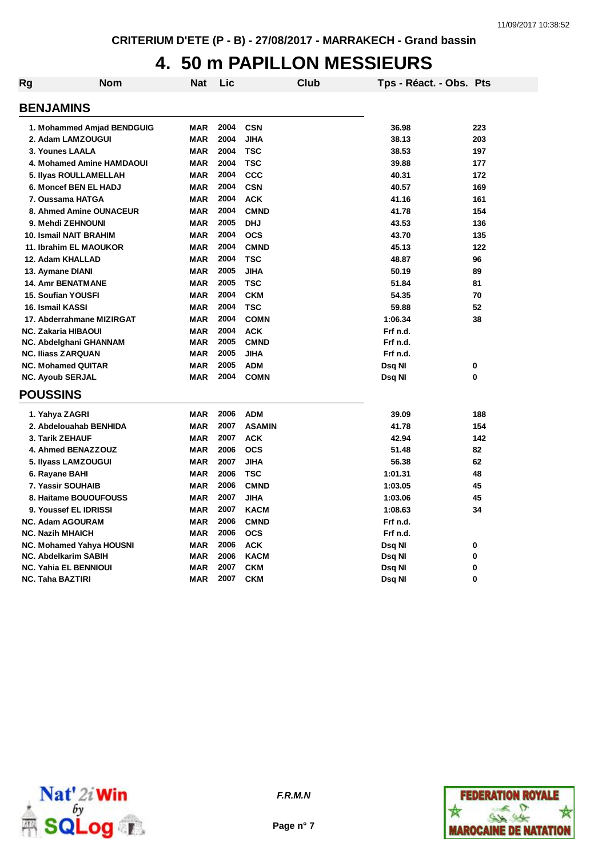# **4. 50 m PAPILLON MESSIEURS**

| Rg | <b>Nom</b>                      | Nat        | Lic  |               | <b>Club</b> | Tps - Réact. - Obs. Pts |     |
|----|---------------------------------|------------|------|---------------|-------------|-------------------------|-----|
|    | <b>BENJAMINS</b>                |            |      |               |             |                         |     |
|    |                                 |            |      |               |             |                         |     |
|    | 1. Mohammed Amjad BENDGUIG      | <b>MAR</b> | 2004 | <b>CSN</b>    |             | 36.98                   | 223 |
|    | 2. Adam LAMZOUGUI               | <b>MAR</b> | 2004 | <b>JIHA</b>   |             | 38.13                   | 203 |
|    | 3. Younes LAALA                 | <b>MAR</b> | 2004 | <b>TSC</b>    |             | 38.53                   | 197 |
|    | 4. Mohamed Amine HAMDAOUI       | <b>MAR</b> | 2004 | <b>TSC</b>    |             | 39.88                   | 177 |
|    | 5. Ilyas ROULLAMELLAH           | <b>MAR</b> | 2004 | <b>CCC</b>    |             | 40.31                   | 172 |
|    | 6. Moncef BEN EL HADJ           | <b>MAR</b> | 2004 | <b>CSN</b>    |             | 40.57                   | 169 |
|    | 7. Oussama HATGA                | <b>MAR</b> | 2004 | <b>ACK</b>    |             | 41.16                   | 161 |
|    | 8. Ahmed Amine OUNACEUR         | <b>MAR</b> | 2004 | <b>CMND</b>   |             | 41.78                   | 154 |
|    | 9. Mehdi ZEHNOUNI               | <b>MAR</b> | 2005 | <b>DHJ</b>    |             | 43.53                   | 136 |
|    | 10. Ismail NAIT BRAHIM          | <b>MAR</b> | 2004 | <b>OCS</b>    |             | 43.70                   | 135 |
|    | 11. Ibrahim EL MAOUKOR          | <b>MAR</b> | 2004 | <b>CMND</b>   |             | 45.13                   | 122 |
|    | 12. Adam KHALLAD                | <b>MAR</b> | 2004 | <b>TSC</b>    |             | 48.87                   | 96  |
|    | 13. Aymane DIANI                | <b>MAR</b> | 2005 | <b>JIHA</b>   |             | 50.19                   | 89  |
|    | <b>14. Amr BENATMANE</b>        | <b>MAR</b> | 2005 | <b>TSC</b>    |             | 51.84                   | 81  |
|    | <b>15. Soufian YOUSFI</b>       | <b>MAR</b> | 2004 | <b>CKM</b>    |             | 54.35                   | 70  |
|    | 16. Ismail KASSI                | <b>MAR</b> | 2004 | <b>TSC</b>    |             | 59.88                   | 52  |
|    | 17. Abderrahmane MIZIRGAT       | <b>MAR</b> | 2004 | <b>COMN</b>   |             | 1:06.34                 | 38  |
|    | <b>NC. Zakaria HIBAOUI</b>      | <b>MAR</b> | 2004 | <b>ACK</b>    |             | Frf n.d.                |     |
|    | NC. Abdelghani GHANNAM          | <b>MAR</b> | 2005 | <b>CMND</b>   |             | Frf n.d.                |     |
|    | <b>NC. Iliass ZARQUAN</b>       | <b>MAR</b> | 2005 | <b>JIHA</b>   |             | Frf n.d.                |     |
|    | <b>NC. Mohamed QUITAR</b>       | <b>MAR</b> | 2005 | <b>ADM</b>    |             | Dsq NI                  | 0   |
|    | <b>NC. Ayoub SERJAL</b>         | <b>MAR</b> | 2004 | <b>COMN</b>   |             | Dsq NI                  | 0   |
|    | <b>POUSSINS</b>                 |            |      |               |             |                         |     |
|    | 1. Yahya ZAGRI                  | <b>MAR</b> | 2006 | <b>ADM</b>    |             | 39.09                   | 188 |
|    | 2. Abdelouahab BENHIDA          | <b>MAR</b> | 2007 | <b>ASAMIN</b> |             | 41.78                   | 154 |
|    | 3. Tarik ZEHAUF                 | <b>MAR</b> | 2007 | <b>ACK</b>    |             | 42.94                   | 142 |
|    | 4. Ahmed BENAZZOUZ              | <b>MAR</b> | 2006 | <b>OCS</b>    |             | 51.48                   | 82  |
|    | 5. Ilyass LAMZOUGUI             | <b>MAR</b> | 2007 | <b>JIHA</b>   |             | 56.38                   | 62  |
|    | 6. Rayane BAHI                  | <b>MAR</b> | 2006 | <b>TSC</b>    |             | 1:01.31                 | 48  |
|    | 7. Yassir SOUHAIB               | <b>MAR</b> | 2006 | <b>CMND</b>   |             | 1:03.05                 | 45  |
|    | 8. Haitame BOUOUFOUSS           | <b>MAR</b> | 2007 | <b>JIHA</b>   |             | 1:03.06                 | 45  |
|    | 9. Youssef EL IDRISSI           | <b>MAR</b> | 2007 | <b>KACM</b>   |             | 1:08.63                 | 34  |
|    | <b>NC. Adam AGOURAM</b>         | <b>MAR</b> | 2006 | <b>CMND</b>   |             | Frf n.d.                |     |
|    | <b>NC. Nazih MHAICH</b>         | <b>MAR</b> | 2006 | <b>OCS</b>    |             | Frf n.d.                |     |
|    | <b>NC. Mohamed Yahya HOUSNI</b> | <b>MAR</b> | 2006 | <b>ACK</b>    |             | Dsq NI                  | 0   |
|    | <b>NC. Abdelkarim SABIH</b>     | <b>MAR</b> | 2006 | <b>KACM</b>   |             | Dsq NI                  | 0   |
|    | <b>NC. Yahia EL BENNIOUI</b>    | <b>MAR</b> | 2007 | <b>CKM</b>    |             | Dsq NI                  | 0   |
|    | <b>NC. Taha BAZTIRI</b>         | <b>MAR</b> | 2007 | <b>CKM</b>    |             | Dsq NI                  | 0   |



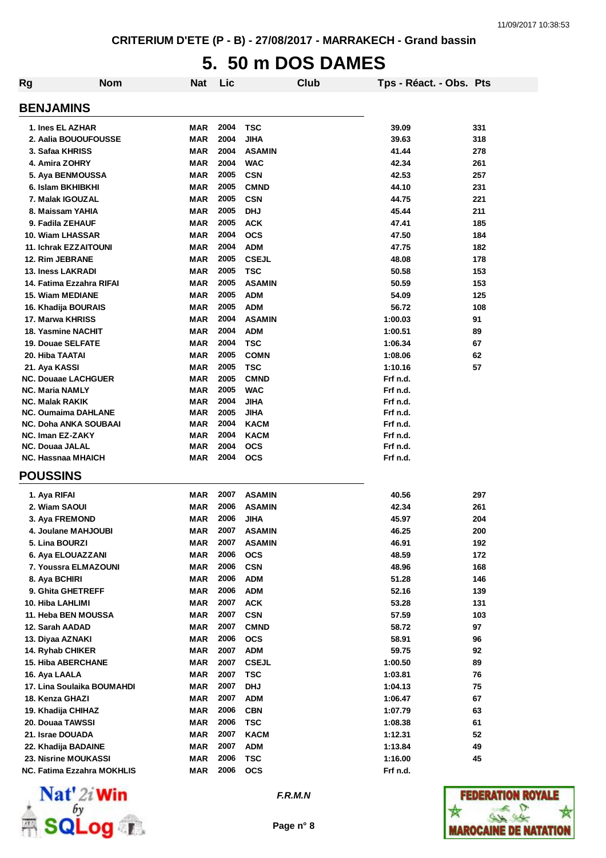# **5. 50 m DOS DAMES**

| Rg | <b>Nom</b>                   | Nat        | Lic          |               | Club | Tps - Réact. - Obs. Pts |     |
|----|------------------------------|------------|--------------|---------------|------|-------------------------|-----|
|    | <b>BENJAMINS</b>             |            |              |               |      |                         |     |
|    | 1. Ines EL AZHAR             | MAR        | 2004         | <b>TSC</b>    |      | 39.09                   | 331 |
|    | 2. Aalia BOUOUFOUSSE         | <b>MAR</b> | 2004         | JIHA          |      | 39.63                   | 318 |
|    | 3. Safaa KHRISS              | <b>MAR</b> | 2004         | <b>ASAMIN</b> |      | 41.44                   | 278 |
|    | 4. Amira ZOHRY               | <b>MAR</b> | 2004         | <b>WAC</b>    |      | 42.34                   | 261 |
|    | 5. Aya BENMOUSSA             | <b>MAR</b> | 2005         | <b>CSN</b>    |      | 42.53                   | 257 |
|    | 6. Islam BKHIBKHI            | <b>MAR</b> | 2005         | <b>CMND</b>   |      | 44.10                   | 231 |
|    | 7. Malak IGOUZAL             | <b>MAR</b> | 2005         | <b>CSN</b>    |      | 44.75                   | 221 |
|    | 8. Maissam YAHIA             | <b>MAR</b> | 2005         | <b>DHJ</b>    |      | 45.44                   | 211 |
|    | 9. Fadila ZEHAUF             | <b>MAR</b> | 2005         | <b>ACK</b>    |      | 47.41                   | 185 |
|    | 10. Wiam LHASSAR             | <b>MAR</b> | 2004         | <b>OCS</b>    |      | 47.50                   | 184 |
|    | <b>11. Ichrak EZZAITOUNI</b> | <b>MAR</b> | 2004         | <b>ADM</b>    |      | 47.75                   | 182 |
|    | 12. Rim JEBRANE              | <b>MAR</b> | 2005         | <b>CSEJL</b>  |      | 48.08                   | 178 |
|    | <b>13. Iness LAKRADI</b>     | <b>MAR</b> | 2005         | <b>TSC</b>    |      | 50.58                   | 153 |
|    | 14. Fatima Ezzahra RIFAI     | MAR        | 2005         | <b>ASAMIN</b> |      | 50.59                   | 153 |
|    | <b>15. Wiam MEDIANE</b>      | MAR        | 2005         | <b>ADM</b>    |      | 54.09                   | 125 |
|    | 16. Khadija BOURAIS          | MAR        | 2005         | <b>ADM</b>    |      | 56.72                   | 108 |
|    | 17. Marwa KHRISS             | <b>MAR</b> | 2004         | <b>ASAMIN</b> |      | 1:00.03                 | 91  |
|    | 18. Yasmine NACHIT           | <b>MAR</b> | 2004         | <b>ADM</b>    |      | 1:00.51                 | 89  |
|    | 19. Douae SELFATE            | MAR        | 2004         | <b>TSC</b>    |      | 1:06.34                 | 67  |
|    | 20. Hiba TAATAI              | MAR        | 2005         | <b>COMN</b>   |      | 1:08.06                 | 62  |
|    | 21. Aya KASSI                | MAR        | 2005         | <b>TSC</b>    |      | 1:10.16                 | 57  |
|    | <b>NC. Douaae LACHGUER</b>   | <b>MAR</b> | 2005         | <b>CMND</b>   |      | Frf n.d.                |     |
|    | <b>NC. Maria NAMLY</b>       | <b>MAR</b> | 2005         | <b>WAC</b>    |      | Frf n.d.                |     |
|    | <b>NC. Malak RAKIK</b>       | <b>MAR</b> | 2004         | <b>JIHA</b>   |      | Frf n.d.                |     |
|    | <b>NC. Oumaima DAHLANE</b>   | <b>MAR</b> | 2005         | <b>JIHA</b>   |      | Frf n.d.                |     |
|    | <b>NC. Doha ANKA SOUBAAI</b> | <b>MAR</b> | 2004         | <b>KACM</b>   |      | Frf n.d.                |     |
|    | <b>NC. Iman EZ-ZAKY</b>      | <b>MAR</b> | 2004         | <b>KACM</b>   |      | Frf n.d.                |     |
|    | <b>NC. Douaa JALAL</b>       | <b>MAR</b> | 2004         | <b>OCS</b>    |      | Frf n.d.                |     |
|    | <b>NC. Hassnaa MHAICH</b>    | MAR        | 2004         | <b>OCS</b>    |      | Frf n.d.                |     |
|    | <b>POUSSINS</b>              |            |              |               |      |                         |     |
|    | 1. Aya RIFAI                 | MAR        | 2007         | <b>ASAMIN</b> |      | 40.56                   | 297 |
|    | 2. Wiam SAOUI                | <b>MAR</b> | 2006         | <b>ASAMIN</b> |      | 42.34                   | 261 |
|    | 3. Aya FREMOND               | <b>MAR</b> | 2006         | <b>JIHA</b>   |      | 45.97                   | 204 |
|    | 4. Joulane MAHJOUBI          | <b>MAR</b> | 2007         | <b>ASAMIN</b> |      | 46.25                   | 200 |
|    | 5. Lina BOURZI               | MAR        | 2007         | <b>ASAMIN</b> |      | 46.91                   | 192 |
|    | 6. Aya ELOUAZZANI            | <b>MAR</b> | 2006         | <b>OCS</b>    |      | 48.59                   | 172 |
|    | 7. Youssra ELMAZOUNI         | <b>MAR</b> | 2006         | <b>CSN</b>    |      | 48.96                   | 168 |
|    | 8. Aya BCHIRI                | <b>MAR</b> | 2006         | <b>ADM</b>    |      | 51.28                   | 146 |
|    | 9. Ghita GHETREFF            | <b>MAR</b> | 2006         | <b>ADM</b>    |      | 52.16                   | 139 |
|    | 10. Hiba LAHLIMI             | <b>MAR</b> | 2007         | <b>ACK</b>    |      | 53.28                   | 131 |
|    | 11. Heba BEN MOUSSA          | <b>MAR</b> | 2007         | <b>CSN</b>    |      | 57.59                   | 103 |
|    | 12. Sarah AADAD              | <b>MAR</b> | 2007         | <b>CMND</b>   |      | 58.72                   | 97  |
|    | 13. Diyaa AZNAKI             | <b>MAR</b> | 2006         | <b>OCS</b>    |      | 58.91                   | 96  |
|    | 14. Ryhab CHIKER             | <b>MAR</b> | 2007         | <b>ADM</b>    |      | 59.75                   | 92  |
|    | 15. Hiba ABERCHANE           | <b>MAR</b> | 2007         | <b>CSEJL</b>  |      | 1:00.50                 | 89  |
|    |                              |            |              |               |      |                         |     |
|    | 16. Aya LAALA                | <b>MAR</b> | 2007<br>2007 | <b>TSC</b>    |      | 1:03.81                 | 76  |
|    | 17. Lina Soulaika BOUMAHDI   | <b>MAR</b> |              | <b>DHJ</b>    |      | 1:04.13                 | 75  |
|    | 18. Kenza GHAZI              | <b>MAR</b> | 2007         | <b>ADM</b>    |      | 1:06.47                 | 67  |
|    | 19. Khadija CHIHAZ           | <b>MAR</b> | 2006         | <b>CBN</b>    |      | 1:07.79                 | 63  |
|    | 20. Douaa TAWSSI             | <b>MAR</b> | 2006         | <b>TSC</b>    |      | 1:08.38                 | 61  |
|    | 21. Israe DOUADA             | <b>MAR</b> | 2007         | <b>KACM</b>   |      | 1:12.31                 | 52  |
|    | 22. Khadija BADAINE          | <b>MAR</b> | 2007         | <b>ADM</b>    |      | 1:13.84                 | 49  |
|    | 23. Nisrine MOUKASSI         | <b>MAR</b> | 2006         | <b>TSC</b>    |      | 1:16.00                 | 45  |
|    | NC. Fatima Ezzahra MOKHLIS   | <b>MAR</b> | 2006         | <b>OCS</b>    |      | Frf n.d.                |     |



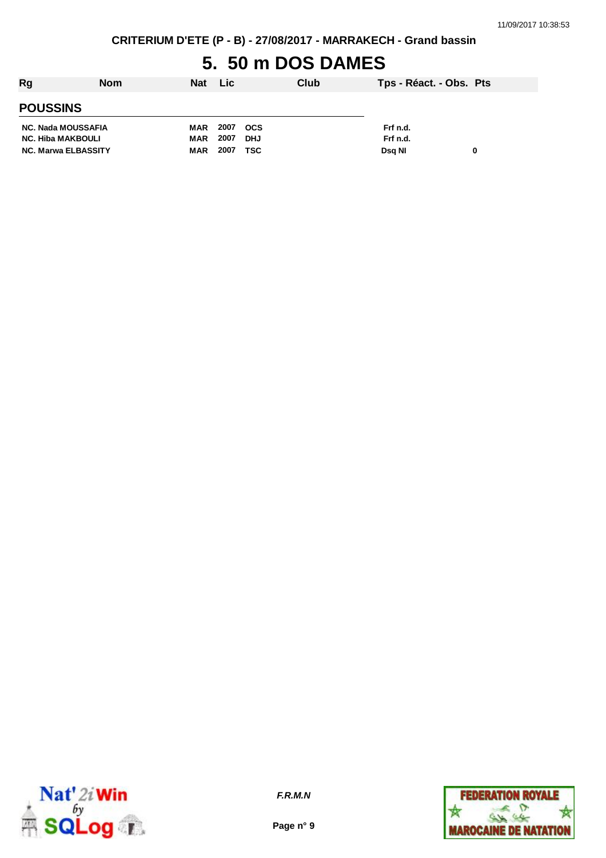## **5. 50 m DOS DAMES**

| <b>Rg</b>                  | <b>Nom</b> | Nat | <b>Lic</b> |            | Club | Tps - Réact. - Obs. Pts |   |
|----------------------------|------------|-----|------------|------------|------|-------------------------|---|
| <b>POUSSINS</b>            |            |     |            |            |      |                         |   |
| NC. Nada MOUSSAFIA         |            | MAR | 2007       | <b>OCS</b> |      | Frf n.d.                |   |
| <b>NC. Hiba MAKBOULI</b>   |            | MAR | 2007       | <b>DHJ</b> |      | Frf n.d.                |   |
| <b>NC. Marwa ELBASSITY</b> |            | MAR | 2007       | <b>TSC</b> |      | Dsa NI                  | 0 |



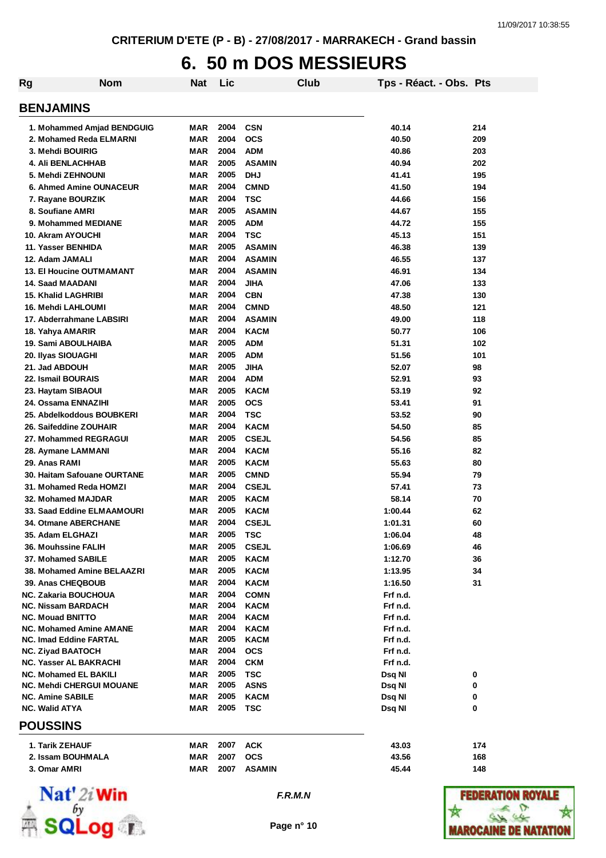## **6. 50 m DOS MESSIEURS**

| <b>Rg</b>               | <b>Nom</b>                      | Nat        | Lic  |               | Club | Tps - Réact. - Obs. Pts |     |
|-------------------------|---------------------------------|------------|------|---------------|------|-------------------------|-----|
| <b>BENJAMINS</b>        |                                 |            |      |               |      |                         |     |
|                         | 1. Mohammed Amjad BENDGUIG      | MAR        | 2004 | <b>CSN</b>    |      | 40.14                   | 214 |
|                         | 2. Mohamed Reda ELMARNI         | <b>MAR</b> | 2004 | <b>OCS</b>    |      | 40.50                   | 209 |
|                         | 3. Mehdi BOUIRIG                | <b>MAR</b> | 2004 | <b>ADM</b>    |      | 40.86                   | 203 |
|                         | <b>4. Ali BENLACHHAB</b>        | <b>MAR</b> | 2005 | <b>ASAMIN</b> |      | 40.94                   | 202 |
|                         | 5. Mehdi ZEHNOUNI               | <b>MAR</b> | 2005 | <b>DHJ</b>    |      | 41.41                   | 195 |
|                         | <b>6. Ahmed Amine OUNACEUR</b>  | <b>MAR</b> | 2004 | <b>CMND</b>   |      | 41.50                   | 194 |
|                         | 7. Rayane BOURZIK               | <b>MAR</b> | 2004 | <b>TSC</b>    |      | 44.66                   | 156 |
|                         | 8. Soufiane AMRI                | <b>MAR</b> | 2005 | <b>ASAMIN</b> |      | 44.67                   | 155 |
|                         | 9. Mohammed MEDIANE             | <b>MAR</b> | 2005 | <b>ADM</b>    |      | 44.72                   | 155 |
|                         | 10. Akram AYOUCHI               | <b>MAR</b> | 2004 | <b>TSC</b>    |      | 45.13                   | 151 |
|                         | 11. Yasser BENHIDA              | <b>MAR</b> | 2005 | <b>ASAMIN</b> |      | 46.38                   | 139 |
| 12. Adam JAMALI         |                                 | MAR        | 2004 | <b>ASAMIN</b> |      | 46.55                   | 137 |
|                         | <b>13. El Houcine OUTMAMANT</b> | <b>MAR</b> | 2004 | <b>ASAMIN</b> |      | 46.91                   | 134 |
|                         | 14. Saad MAADANI                | <b>MAR</b> | 2004 | <b>JIHA</b>   |      | 47.06                   | 133 |
|                         | <b>15. Khalid LAGHRIBI</b>      | <b>MAR</b> | 2004 | <b>CBN</b>    |      | 47.38                   | 130 |
|                         | 16. Mehdi LAHLOUMI              | <b>MAR</b> | 2004 | <b>CMND</b>   |      | 48.50                   | 121 |
|                         | 17. Abderrahmane LABSIRI        | <b>MAR</b> | 2004 | <b>ASAMIN</b> |      | 49.00                   | 118 |
| 18. Yahya AMARIR        |                                 | <b>MAR</b> | 2004 | <b>KACM</b>   |      | 50.77                   | 106 |
|                         | 19. Sami ABOULHAIBA             | MAR        | 2005 | <b>ADM</b>    |      | 51.31                   | 102 |
|                         | 20. Ilyas SIOUAGHI              | <b>MAR</b> | 2005 | <b>ADM</b>    |      | 51.56                   | 101 |
| 21. Jad ABDOUH          |                                 | <b>MAR</b> | 2005 | <b>JIHA</b>   |      | 52.07                   | 98  |
|                         | 22. Ismail BOURAIS              | <b>MAR</b> | 2004 | <b>ADM</b>    |      | 52.91                   | 93  |
|                         | 23. Haytam SIBAOUI              | <b>MAR</b> | 2005 | <b>KACM</b>   |      | 53.19                   | 92  |
|                         | 24. Ossama ENNAZIHI             | MAR        | 2005 | <b>OCS</b>    |      | 53.41                   | 91  |
|                         | 25. Abdelkoddous BOUBKERI       | MAR        | 2004 | <b>TSC</b>    |      | 53.52                   | 90  |
|                         | 26. Saifeddine ZOUHAIR          | MAR        | 2004 | <b>KACM</b>   |      | 54.50                   | 85  |
|                         | 27. Mohammed REGRAGUI           | <b>MAR</b> | 2005 | <b>CSEJL</b>  |      | 54.56                   | 85  |
|                         | 28. Aymane LAMMANI              | <b>MAR</b> | 2004 | <b>KACM</b>   |      | 55.16                   | 82  |
| 29. Anas RAMI           |                                 | <b>MAR</b> | 2005 | <b>KACM</b>   |      | 55.63                   | 80  |
|                         | 30. Haitam Safouane OURTANE     | <b>MAR</b> | 2005 | <b>CMND</b>   |      | 55.94                   | 79  |
|                         | 31. Mohamed Reda HOMZI          | <b>MAR</b> | 2004 | <b>CSEJL</b>  |      | 57.41                   | 73  |
|                         | 32. Mohamed MAJDAR              | MAR        | 2005 | <b>KACM</b>   |      | 58.14                   | 70  |
|                         | 33. Saad Eddine ELMAAMOURI      | <b>MAR</b> | 2005 | <b>KACM</b>   |      | 1:00.44                 | 62  |
|                         | <b>34. Otmane ABERCHANE</b>     | <b>MAR</b> | 2004 | <b>CSEJL</b>  |      | 1:01.31                 | 60  |
|                         | 35. Adam ELGHAZI                | <b>MAR</b> | 2005 | <b>TSC</b>    |      | 1:06.04                 | 48  |
|                         | <b>36. Mouhssine FALIH</b>      | MAR        | 2005 | <b>CSEJL</b>  |      | 1:06.69                 | 46  |
|                         | 37. Mohamed SABILE              | <b>MAR</b> | 2005 | <b>KACM</b>   |      | 1:12.70                 | 36  |
|                         | 38. Mohamed Amine BELAAZRI      | MAR        | 2005 | <b>KACM</b>   |      | 1:13.95                 | 34  |
|                         | 39. Anas CHEQBOUB               | <b>MAR</b> | 2004 | <b>KACM</b>   |      | 1:16.50                 | 31  |
|                         | <b>NC. Zakaria BOUCHOUA</b>     | <b>MAR</b> | 2004 | <b>COMN</b>   |      | Frf n.d.                |     |
|                         | <b>NC. Nissam BARDACH</b>       | MAR        | 2004 | <b>KACM</b>   |      | Frf n.d.                |     |
| <b>NC. Mouad BNITTO</b> |                                 | MAR        | 2004 | <b>KACM</b>   |      | Frf n.d.                |     |
|                         | <b>NC. Mohamed Amine AMANE</b>  | <b>MAR</b> | 2004 | <b>KACM</b>   |      | Frf n.d.                |     |
|                         | <b>NC. Imad Eddine FARTAL</b>   | MAR        | 2005 | <b>KACM</b>   |      | Frf n.d.                |     |
|                         | <b>NC. Ziyad BAATOCH</b>        | MAR        | 2004 | <b>OCS</b>    |      | Frf n.d.                |     |
|                         | NC. Yasser AL BAKRACHI          | MAR        | 2004 | <b>CKM</b>    |      | Frf n.d.                |     |
|                         | <b>NC. Mohamed EL BAKILI</b>    | <b>MAR</b> | 2005 | <b>TSC</b>    |      | Dsq NI                  | 0   |
|                         | <b>NC. Mehdi CHERGUI MOUANE</b> | MAR        | 2005 | <b>ASNS</b>   |      | Dsq NI                  | 0   |
| <b>NC. Amine SABILE</b> |                                 | <b>MAR</b> | 2005 | <b>KACM</b>   |      | Dsq NI                  | 0   |
| <b>NC. Walid ATYA</b>   |                                 | MAR        | 2005 | TSC           |      | Dsq NI                  | 0   |
| <b>POUSSINS</b>         |                                 |            |      |               |      |                         |     |
|                         | 1. Tarik ZEHAUF                 | MAR        | 2007 | <b>ACK</b>    |      | 43.03                   | 174 |
|                         | 2. Issam BOUHMALA               | MAR        | 2007 | <b>OCS</b>    |      | 43.56                   | 168 |
| 3. Omar AMRI            |                                 | <b>MAR</b> | 2007 | <b>ASAMIN</b> |      | 45.44                   | 148 |



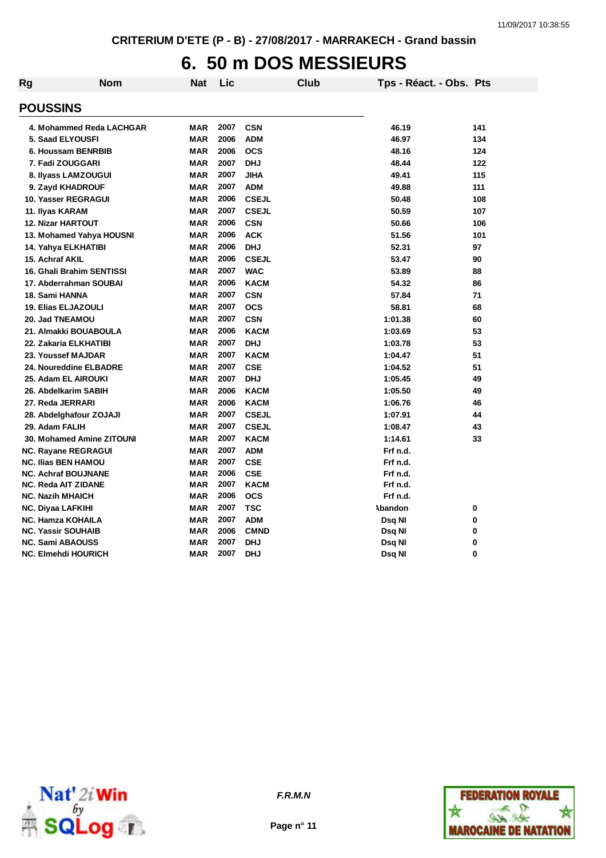## **6. 50 m DOS MESSIEURS**

| Rg                                      | <b>Nom</b> | <b>Nat</b> | Lic  |              | <b>Club</b> | Tps - Réact. - Obs. Pts |     |
|-----------------------------------------|------------|------------|------|--------------|-------------|-------------------------|-----|
| <b>POUSSINS</b>                         |            |            |      |              |             |                         |     |
| 4. Mohammed Reda LACHGAR                |            | <b>MAR</b> | 2007 | <b>CSN</b>   |             | 46.19                   | 141 |
| 5. Saad ELYOUSFI                        |            | <b>MAR</b> | 2006 | <b>ADM</b>   |             | 46.97                   | 134 |
| 6. Houssam BENRBIB                      |            | <b>MAR</b> | 2006 | <b>OCS</b>   |             | 48.16                   | 124 |
| 7. Fadi ZOUGGARI                        |            | <b>MAR</b> | 2007 | <b>DHJ</b>   |             | 48.44                   | 122 |
|                                         |            | <b>MAR</b> | 2007 | <b>JIHA</b>  |             | 49.41                   | 115 |
| 8. Ilyass LAMZOUGUI<br>9. Zayd KHADROUF |            | <b>MAR</b> | 2007 | <b>ADM</b>   |             | 49.88                   | 111 |
|                                         |            | <b>MAR</b> | 2006 | <b>CSEJL</b> |             |                         | 108 |
| <b>10. Yasser REGRAGUI</b>              |            | <b>MAR</b> | 2007 | <b>CSEJL</b> |             | 50.48<br>50.59          | 107 |
| 11. Ilyas KARAM                         |            | <b>MAR</b> | 2006 | <b>CSN</b>   |             |                         |     |
| <b>12. Nizar HARTOUT</b>                |            |            | 2006 |              |             | 50.66                   | 106 |
| 13. Mohamed Yahya HOUSNI                |            | <b>MAR</b> | 2006 | <b>ACK</b>   |             | 51.56                   | 101 |
| 14. Yahya ELKHATIBI                     |            | <b>MAR</b> |      | <b>DHJ</b>   |             | 52.31                   | 97  |
| 15. Achraf AKIL                         |            | <b>MAR</b> | 2006 | <b>CSEJL</b> |             | 53.47                   | 90  |
| 16. Ghali Brahim SENTISSI               |            | <b>MAR</b> | 2007 | <b>WAC</b>   |             | 53.89                   | 88  |
| 17. Abderrahman SOUBAI                  |            | <b>MAR</b> | 2006 | <b>KACM</b>  |             | 54.32                   | 86  |
| 18. Sami HANNA                          |            | <b>MAR</b> | 2007 | <b>CSN</b>   |             | 57.84                   | 71  |
| <b>19. Elias ELJAZOULI</b>              |            | <b>MAR</b> | 2007 | <b>OCS</b>   |             | 58.81                   | 68  |
| 20. Jad TNEAMOU                         |            | <b>MAR</b> | 2007 | <b>CSN</b>   |             | 1:01.38                 | 60  |
| 21. Almakki BOUABOULA                   |            | <b>MAR</b> | 2006 | <b>KACM</b>  |             | 1:03.69                 | 53  |
| 22. Zakaria ELKHATIBI                   |            | <b>MAR</b> | 2007 | <b>DHJ</b>   |             | 1:03.78                 | 53  |
| 23. Youssef MAJDAR                      |            | <b>MAR</b> | 2007 | <b>KACM</b>  |             | 1:04.47                 | 51  |
| 24. Noureddine ELBADRE                  |            | <b>MAR</b> | 2007 | <b>CSE</b>   |             | 1:04.52                 | 51  |
| 25. Adam EL AIROUKI                     |            | <b>MAR</b> | 2007 | <b>DHJ</b>   |             | 1:05.45                 | 49  |
| 26. Abdelkarim SABIH                    |            | <b>MAR</b> | 2006 | <b>KACM</b>  |             | 1:05.50                 | 49  |
| 27. Reda JERRARI                        |            | <b>MAR</b> | 2006 | <b>KACM</b>  |             | 1:06.76                 | 46  |
| 28. Abdelghafour ZOJAJI                 |            | <b>MAR</b> | 2007 | <b>CSEJL</b> |             | 1:07.91                 | 44  |
| 29. Adam FALIH                          |            | <b>MAR</b> | 2007 | <b>CSEJL</b> |             | 1:08.47                 | 43  |
| 30. Mohamed Amine ZITOUNI               |            | <b>MAR</b> | 2007 | <b>KACM</b>  |             | 1:14.61                 | 33  |
| <b>NC. Rayane REGRAGUI</b>              |            | <b>MAR</b> | 2007 | <b>ADM</b>   |             | Frf n.d.                |     |
| <b>NC. Ilias BEN HAMOU</b>              |            | <b>MAR</b> | 2007 | <b>CSE</b>   |             | Frf n.d.                |     |
| <b>NC. Achraf BOUJNANE</b>              |            | <b>MAR</b> | 2006 | <b>CSE</b>   |             | Frf n.d.                |     |
| <b>NC. Reda AIT ZIDANE</b>              |            | <b>MAR</b> | 2007 | <b>KACM</b>  |             | Frf n.d.                |     |
| <b>NC. Nazih MHAICH</b>                 |            | <b>MAR</b> | 2006 | <b>OCS</b>   |             | Frf n.d.                |     |
| <b>NC. Diyaa LAFKIHI</b>                |            | <b>MAR</b> | 2007 | <b>TSC</b>   |             | Abandon                 | 0   |
| <b>NC. Hamza KOHAILA</b>                |            | <b>MAR</b> | 2007 | <b>ADM</b>   |             | Dsq NI                  | 0   |
| <b>NC. Yassir SOUHAIB</b>               |            | <b>MAR</b> | 2006 | <b>CMND</b>  |             | Dsq NI                  | 0   |
| <b>NC. Sami ABAOUSS</b>                 |            | <b>MAR</b> | 2007 | <b>DHJ</b>   |             | Dsq NI                  | 0   |
| NC. Elmehdi HOURICH                     |            | <b>MAR</b> | 2007 | <b>DHJ</b>   |             | Dsq NI                  | 0   |



*F.R.M.N*

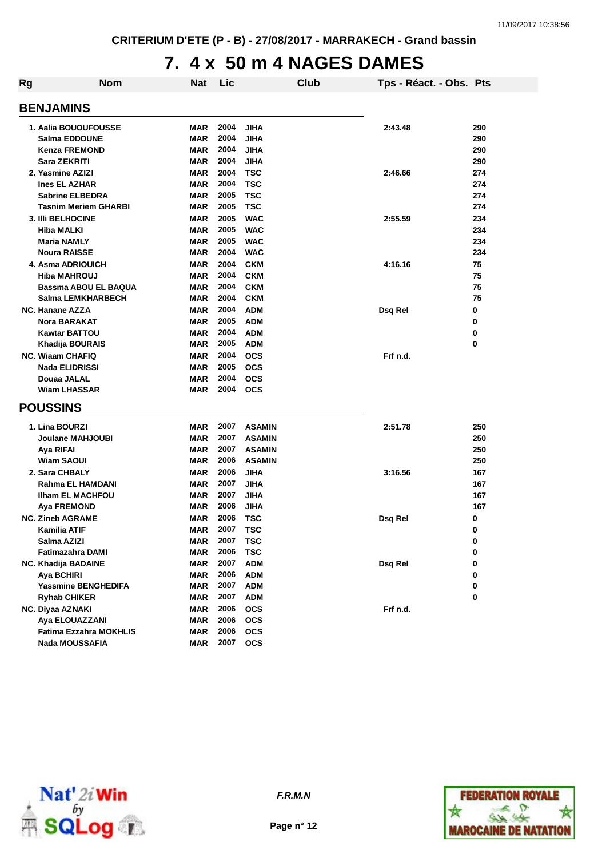## **7. 4 x 50 m 4 NAGES DAMES**

| Rg | <b>Nom</b>                  | <b>Nat</b> | Lic  |               | Club | Tps - Réact. - Obs. Pts |     |
|----|-----------------------------|------------|------|---------------|------|-------------------------|-----|
|    | <b>BENJAMINS</b>            |            |      |               |      |                         |     |
|    |                             |            |      |               |      |                         |     |
|    | 1. Aalia BOUOUFOUSSE        | MAR        | 2004 | <b>JIHA</b>   |      | 2:43.48                 | 290 |
|    | <b>Salma EDDOUNE</b>        | <b>MAR</b> | 2004 | <b>JIHA</b>   |      |                         | 290 |
|    | <b>Kenza FREMOND</b>        | <b>MAR</b> | 2004 | <b>JIHA</b>   |      |                         | 290 |
|    | Sara ZEKRITI                | MAR        | 2004 | <b>JIHA</b>   |      |                         | 290 |
|    | 2. Yasmine AZIZI            | <b>MAR</b> | 2004 | <b>TSC</b>    |      | 2:46.66                 | 274 |
|    | <b>Ines EL AZHAR</b>        | <b>MAR</b> | 2004 | <b>TSC</b>    |      |                         | 274 |
|    | <b>Sabrine ELBEDRA</b>      | <b>MAR</b> | 2005 | <b>TSC</b>    |      |                         | 274 |
|    | <b>Tasnim Meriem GHARBI</b> | MAR        | 2005 | <b>TSC</b>    |      |                         | 274 |
|    | 3. IIIi BELHOCINE           | MAR        | 2005 | <b>WAC</b>    |      | 2:55.59                 | 234 |
|    | Hiba MALKI                  | MAR        | 2005 | <b>WAC</b>    |      |                         | 234 |
|    | <b>Maria NAMLY</b>          | <b>MAR</b> | 2005 | <b>WAC</b>    |      |                         | 234 |
|    | <b>Noura RAISSE</b>         | MAR        | 2004 | <b>WAC</b>    |      |                         | 234 |
|    | 4. Asma ADRIOUICH           | MAR        | 2004 | <b>CKM</b>    |      | 4:16.16                 | 75  |
|    | <b>Hiba MAHROUJ</b>         | MAR        | 2004 | <b>CKM</b>    |      |                         | 75  |
|    | Bassma ABOU EL BAQUA        | <b>MAR</b> | 2004 | <b>CKM</b>    |      |                         | 75  |
|    | Salma LEMKHARBECH           | MAR        | 2004 | <b>CKM</b>    |      |                         | 75  |
|    | <b>NC. Hanane AZZA</b>      | <b>MAR</b> | 2004 | <b>ADM</b>    |      | Dsq Rel                 | 0   |
|    | <b>Nora BARAKAT</b>         | <b>MAR</b> | 2005 | <b>ADM</b>    |      |                         | 0   |
|    | <b>Kawtar BATTOU</b>        | <b>MAR</b> | 2004 | <b>ADM</b>    |      |                         | 0   |
|    | Khadija BOURAIS             | MAR        | 2005 | <b>ADM</b>    |      |                         | 0   |
|    | <b>NC. Wiaam CHAFIQ</b>     | <b>MAR</b> | 2004 | <b>OCS</b>    |      | Frf n.d.                |     |
|    | <b>Nada ELIDRISSI</b>       | <b>MAR</b> | 2005 | <b>OCS</b>    |      |                         |     |
|    | Douaa JALAL                 | MAR        | 2004 | <b>OCS</b>    |      |                         |     |
|    | <b>Wiam LHASSAR</b>         | MAR        | 2004 | <b>OCS</b>    |      |                         |     |
|    | <b>POUSSINS</b>             |            |      |               |      |                         |     |
|    |                             |            |      |               |      |                         |     |
|    | 1. Lina BOURZI              | MAR        | 2007 | <b>ASAMIN</b> |      | 2:51.78                 | 250 |
|    | Joulane MAHJOUBI            | MAR        | 2007 | <b>ASAMIN</b> |      |                         | 250 |
|    | Aya RIFAI                   | MAR        | 2007 | <b>ASAMIN</b> |      |                         | 250 |
|    | Wiam SAOUI                  | MAR        | 2006 | <b>ASAMIN</b> |      |                         | 250 |
|    | 2. Sara CHBALY              | MAR        | 2006 | <b>JIHA</b>   |      | 3:16.56                 | 167 |
|    | Rahma EL HAMDANI            | <b>MAR</b> | 2007 | <b>JIHA</b>   |      |                         | 167 |
|    | <b>Ilham EL MACHFOU</b>     | MAR        | 2007 | <b>JIHA</b>   |      |                         | 167 |
|    | Aya FREMOND                 | MAR        | 2006 | <b>JIHA</b>   |      |                         | 167 |
|    | <b>NC. Zineb AGRAME</b>     | MAR        | 2006 | <b>TSC</b>    |      | Dsq Rel                 | 0   |
|    | Kamilia ATIF                | <b>MAR</b> | 2007 | <b>TSC</b>    |      |                         | 0   |
|    | Salma AZIZI                 | MAR        | 2007 | TSC           |      |                         | 0   |
|    | Fatimazahra DAMI            | MAR        | 2006 | <b>TSC</b>    |      |                         | 0   |
|    | NC. Khadija BADAINE         | <b>MAR</b> | 2007 | <b>ADM</b>    |      | Dsq Rel                 | 0   |
|    | Aya BCHIRI                  | <b>MAR</b> | 2006 | <b>ADM</b>    |      |                         | 0   |
|    | Yassmine BENGHEDIFA         | <b>MAR</b> | 2007 | <b>ADM</b>    |      |                         | 0   |
|    | <b>Ryhab CHIKER</b>         | MAR        | 2007 | <b>ADM</b>    |      |                         | 0   |
|    | NC. Diyaa AZNAKI            | <b>MAR</b> | 2006 | <b>OCS</b>    |      | Frf n.d.                |     |
|    | Aya ELOUAZZANI              | <b>MAR</b> | 2006 | <b>OCS</b>    |      |                         |     |
|    | Fatima Ezzahra MOKHLIS      | <b>MAR</b> | 2006 | <b>OCS</b>    |      |                         |     |
|    | <b>Nada MOUSSAFIA</b>       | MAR        | 2007 | <b>OCS</b>    |      |                         |     |



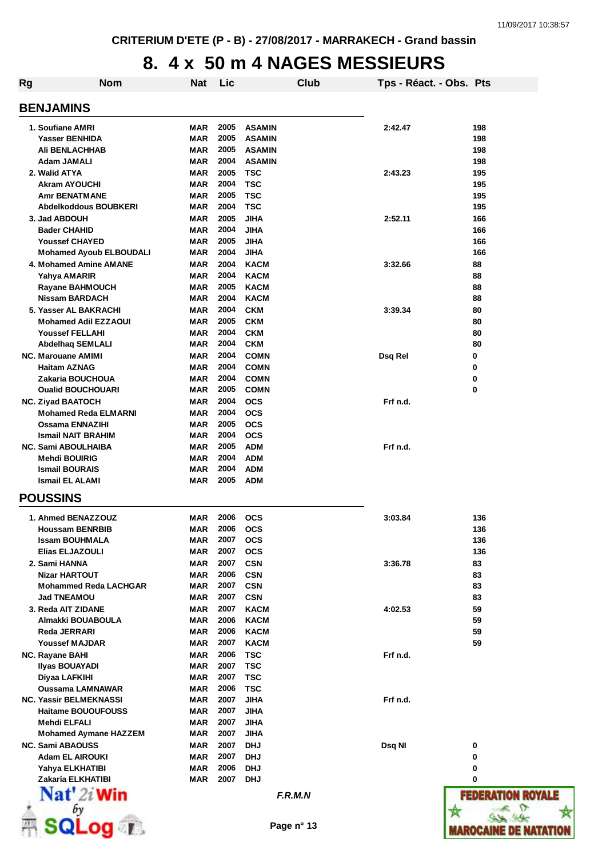**MAROCAINE DE NATATION** 

### **8. 4 x 50 m 4 NAGES MESSIEURS**

| <b>Rg</b>                      | <b>Nom</b> | Nat        | Lic          |               | Club       | Tps - Réact. - Obs. Pts |                          |
|--------------------------------|------------|------------|--------------|---------------|------------|-------------------------|--------------------------|
| <b>BENJAMINS</b>               |            |            |              |               |            |                         |                          |
| 1. Soufiane AMRI               |            | MAR        | 2005         | <b>ASAMIN</b> |            | 2:42.47                 | 198                      |
| <b>Yasser BENHIDA</b>          |            | MAR        | 2005         | <b>ASAMIN</b> |            |                         | 198                      |
| <b>AII BENLACHHAB</b>          |            | MAR        | 2005         | <b>ASAMIN</b> |            |                         | 198                      |
| Adam JAMALI                    |            | MAR        | 2004         | <b>ASAMIN</b> |            |                         | 198                      |
| 2. Walid ATYA                  |            | <b>MAR</b> | 2005         | <b>TSC</b>    |            | 2:43.23                 | 195                      |
| <b>Akram AYOUCHI</b>           |            | <b>MAR</b> | 2004         | <b>TSC</b>    |            |                         | 195                      |
| <b>Amr BENATMANE</b>           |            | MAR        | 2005         | <b>TSC</b>    |            |                         | 195                      |
| Abdelkoddous BOUBKERI          |            | MAR        | 2004         | <b>TSC</b>    |            |                         | 195                      |
|                                |            |            | 2005         | <b>JIHA</b>   |            |                         |                          |
| 3. Jad ABDOUH                  |            | MAR        | 2004         |               |            | 2:52.11                 | 166<br>166               |
| <b>Bader CHAHID</b>            |            | <b>MAR</b> |              | <b>JIHA</b>   |            |                         |                          |
| <b>Youssef CHAYED</b>          |            | MAR        | 2005         | <b>JIHA</b>   |            |                         | 166                      |
| <b>Mohamed Ayoub ELBOUDALI</b> |            | MAR        | 2004         | <b>JIHA</b>   |            |                         | 166                      |
| 4. Mohamed Amine AMANE         |            | <b>MAR</b> | 2004         | <b>KACM</b>   |            | 3:32.66                 | 88                       |
| Yahya AMARIR                   |            | MAR        | 2004         | <b>KACM</b>   |            |                         | 88                       |
| <b>Rayane BAHMOUCH</b>         |            | MAR        | 2005         | <b>KACM</b>   |            |                         | 88                       |
| <b>Nissam BARDACH</b>          |            | MAR        | 2004         | <b>KACM</b>   |            |                         | 88                       |
| 5. Yasser AL BAKRACHI          |            | MAR        | 2004         | <b>CKM</b>    |            | 3:39.34                 | 80                       |
| <b>Mohamed Adil EZZAOUI</b>    |            | <b>MAR</b> | 2005         | <b>CKM</b>    |            |                         | 80                       |
| <b>Youssef FELLAHI</b>         |            | MAR        | 2004         | <b>CKM</b>    |            |                         | 80                       |
| <b>Abdelhaq SEMLALI</b>        |            | MAR        | 2004         | <b>CKM</b>    |            |                         | 80                       |
| <b>NC. Marouane AMIMI</b>      |            | MAR        | 2004         | <b>COMN</b>   |            | Dsq Rel                 | 0                        |
| <b>Haitam AZNAG</b>            |            | MAR        | 2004         | <b>COMN</b>   |            |                         | 0                        |
| Zakaria BOUCHOUA               |            | MAR        | 2004         | <b>COMN</b>   |            |                         | 0                        |
| <b>Oualid BOUCHOUARI</b>       |            | MAR        | 2005         | <b>COMN</b>   |            |                         | 0                        |
| <b>NC. Ziyad BAATOCH</b>       |            | MAR        | 2004         | <b>OCS</b>    |            | Frf n.d.                |                          |
| <b>Mohamed Reda ELMARNI</b>    |            | MAR        | 2004         | <b>OCS</b>    |            |                         |                          |
| <b>Ossama ENNAZIHI</b>         |            | MAR        | 2005         | <b>OCS</b>    |            |                         |                          |
| <b>Ismail NAIT BRAHIM</b>      |            | MAR        | 2004         | <b>OCS</b>    |            |                         |                          |
| <b>NC. Sami ABOULHAIBA</b>     |            | MAR        | 2005         | <b>ADM</b>    |            | Frf n.d.                |                          |
| <b>Mehdi BOUIRIG</b>           |            | MAR        | 2004         | <b>ADM</b>    |            |                         |                          |
| <b>Ismail BOURAIS</b>          |            | MAR        | 2004         | <b>ADM</b>    |            |                         |                          |
| <b>Ismail EL ALAMI</b>         |            | MAR        | 2005         | <b>ADM</b>    |            |                         |                          |
| <b>POUSSINS</b>                |            |            |              |               |            |                         |                          |
| 1. Ahmed BENAZZOUZ             |            | MAR        | 2006         | <b>OCS</b>    |            | 3:03.84                 | 136                      |
| <b>Houssam BENRBIB</b>         |            | <b>MAR</b> | 2006         | <b>OCS</b>    |            |                         | 136                      |
| <b>Issam BOUHMALA</b>          |            | MAR        | 2007         | <b>OCS</b>    |            |                         | 136                      |
| <b>Elias ELJAZOULI</b>         |            | <b>MAR</b> | 2007         | <b>OCS</b>    |            |                         | 136                      |
| 2. Sami HANNA                  |            | MAR        | 2007         | <b>CSN</b>    |            | 3:36.78                 | 83                       |
| <b>Nizar HARTOUT</b>           |            | MAR        | 2006         | <b>CSN</b>    |            |                         | 83                       |
| <b>Mohammed Reda LACHGAR</b>   |            | <b>MAR</b> | 2007         | <b>CSN</b>    |            |                         | 83                       |
| <b>Jad TNEAMOU</b>             |            | MAR        | 2007         | <b>CSN</b>    |            |                         | 83                       |
| 3. Reda AIT ZIDANE             |            | <b>MAR</b> | 2007         | <b>KACM</b>   |            | 4:02.53                 | 59                       |
| Almakki BOUABOULA              |            | MAR        | 2006         | <b>KACM</b>   |            |                         | 59                       |
| Reda JERRARI                   |            | <b>MAR</b> | 2006         | <b>KACM</b>   |            |                         | 59                       |
| <b>Youssef MAJDAR</b>          |            | MAR        | 2007         | <b>KACM</b>   |            |                         | 59                       |
| NC. Rayane BAHI                |            | <b>MAR</b> | 2006         | <b>TSC</b>    |            | Frf n.d.                |                          |
| <b>Ilyas BOUAYADI</b>          |            | MAR        | 2007         | <b>TSC</b>    |            |                         |                          |
| Diyaa LAFKIHI                  |            | MAR        | 2007         | <b>TSC</b>    |            |                         |                          |
| <b>Oussama LAMNAWAR</b>        |            | <b>MAR</b> | 2006         | <b>TSC</b>    |            |                         |                          |
| <b>NC. Yassir BELMEKNASSI</b>  |            | MAR        | 2007         | <b>JIHA</b>   |            | Frf n.d.                |                          |
| <b>Haitame BOUOUFOUSS</b>      |            | <b>MAR</b> | 2007         | <b>JIHA</b>   |            |                         |                          |
| Mehdi ELFALI                   |            | MAR        | 2007         | <b>JIHA</b>   |            |                         |                          |
| <b>Mohamed Aymane HAZZEM</b>   |            | MAR        | 2007         | <b>JIHA</b>   |            |                         |                          |
|                                |            |            | 2007         |               |            |                         |                          |
| <b>NC. Sami ABAOUSS</b>        |            | MAR        |              | <b>DHJ</b>    |            | Dsq NI                  | 0                        |
| <b>Adam EL AIROUKI</b>         |            | MAR        | 2007         | <b>DHJ</b>    |            |                         | 0                        |
| Yahya ELKHATIBI                |            | <b>MAR</b> | 2006<br>2007 | <b>DHJ</b>    |            |                         | 0                        |
| Zakaria ELKHATIBI              |            | <b>MAR</b> |              | <b>DHJ</b>    |            |                         | 0                        |
| $\mathbf{Nat}'$ 2i Win         |            |            |              |               | F.R.M.N    |                         | <b>FEDERATION ROYALE</b> |
| bν                             |            |            |              |               |            |                         |                          |
|                                | $oq$ $r$ . |            |              |               | Page n° 13 |                         | (AROCAINE DE NAT         |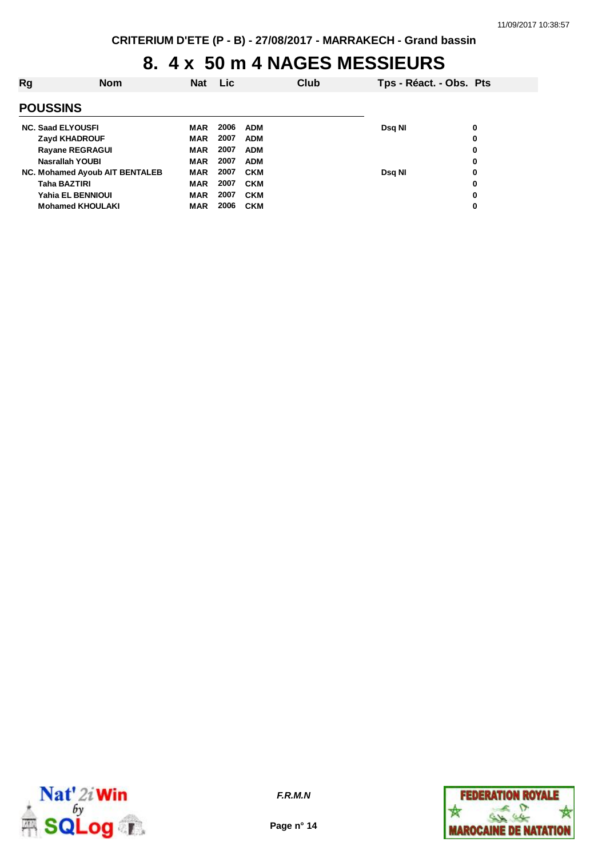### **8. 4 x 50 m 4 NAGES MESSIEURS**

| Rg                             | <b>Nom</b> | <b>Nat</b> | <b>Lic</b> |            | Club | Tps - Réact. - Obs. Pts |   |
|--------------------------------|------------|------------|------------|------------|------|-------------------------|---|
| <b>POUSSINS</b>                |            |            |            |            |      |                         |   |
| <b>NC. Saad ELYOUSFI</b>       |            | MAR        | 2006       | <b>ADM</b> |      | Dsq NI                  | 0 |
| <b>Zayd KHADROUF</b>           |            | <b>MAR</b> | 2007       | <b>ADM</b> |      |                         | 0 |
| <b>Rayane REGRAGUI</b>         |            | <b>MAR</b> | 2007       | <b>ADM</b> |      |                         | 0 |
| Nasrallah YOUBI                |            | <b>MAR</b> | 2007       | <b>ADM</b> |      |                         | 0 |
| NC. Mohamed Ayoub AIT BENTALEB |            | <b>MAR</b> | 2007       | <b>CKM</b> |      | Dsg NI                  | 0 |
| <b>Taha BAZTIRI</b>            |            | <b>MAR</b> | 2007       | <b>CKM</b> |      |                         | 0 |
| Yahia EL BENNIOUI              |            | <b>MAR</b> | 2007       | <b>CKM</b> |      |                         | 0 |
| <b>Mohamed KHOULAKI</b>        |            | <b>MAR</b> | 2006       | <b>CKM</b> |      |                         | 0 |



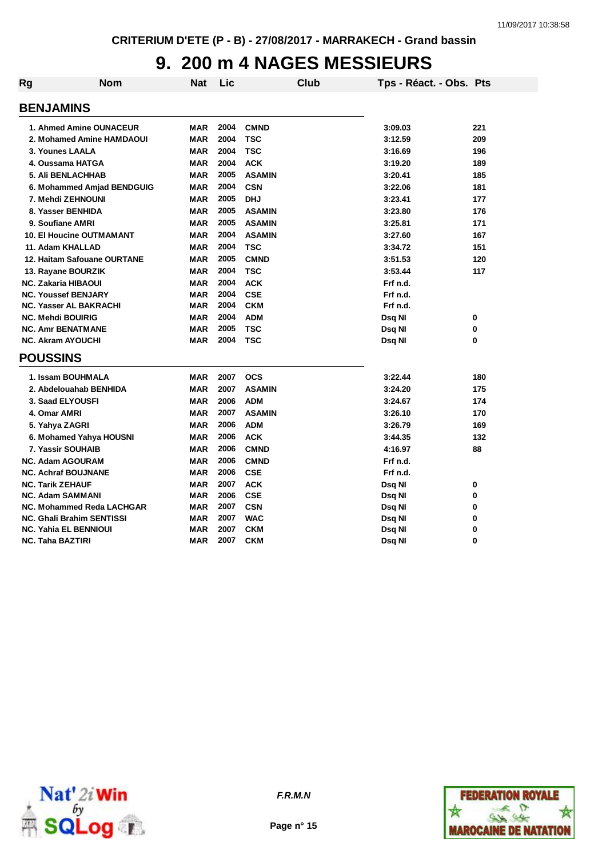## **9. 200 m 4 NAGES MESSIEURS**

| <b>Rg</b> | Nom                                               | Nat        | Lic  | <b>Club</b>   | Tps - Réact. - Obs. Pts |        |
|-----------|---------------------------------------------------|------------|------|---------------|-------------------------|--------|
|           | <b>BENJAMINS</b>                                  |            |      |               |                         |        |
|           | 1. Ahmed Amine OUNACEUR                           | <b>MAR</b> | 2004 | <b>CMND</b>   | 3:09.03                 | 221    |
|           | 2. Mohamed Amine HAMDAOUI                         | <b>MAR</b> | 2004 | <b>TSC</b>    | 3:12.59                 | 209    |
|           | 3. Younes LAALA                                   | <b>MAR</b> | 2004 | <b>TSC</b>    | 3:16.69                 | 196    |
|           | 4. Oussama HATGA                                  | <b>MAR</b> | 2004 | <b>ACK</b>    | 3:19.20                 | 189    |
|           | <b>5. Ali BENLACHHAB</b>                          | <b>MAR</b> | 2005 | <b>ASAMIN</b> | 3:20.41                 | 185    |
|           | 6. Mohammed Amjad BENDGUIG                        | <b>MAR</b> | 2004 | <b>CSN</b>    | 3:22.06                 | 181    |
|           | 7. Mehdi ZEHNOUNI                                 | <b>MAR</b> | 2005 | <b>DHJ</b>    | 3:23.41                 | 177    |
|           | 8. Yasser BENHIDA                                 | <b>MAR</b> | 2005 | <b>ASAMIN</b> | 3:23.80                 | 176    |
|           | 9. Soufiane AMRI                                  | <b>MAR</b> | 2005 | <b>ASAMIN</b> | 3:25.81                 | 171    |
|           | <b>10. El Houcine OUTMAMANT</b>                   | <b>MAR</b> | 2004 | <b>ASAMIN</b> | 3:27.60                 | 167    |
|           | 11. Adam KHALLAD                                  | <b>MAR</b> | 2004 | <b>TSC</b>    | 3:34.72                 | 151    |
|           | 12. Haitam Safouane OURTANE                       | <b>MAR</b> | 2005 | <b>CMND</b>   | 3:51.53                 | 120    |
|           |                                                   | <b>MAR</b> | 2004 | <b>TSC</b>    | 3:53.44                 | 117    |
|           | 13. Rayane BOURZIK                                | <b>MAR</b> | 2004 | <b>ACK</b>    | Frf n.d.                |        |
|           | NC. Zakaria HIBAOUI<br><b>NC. Youssef BENJARY</b> | <b>MAR</b> | 2004 | <b>CSE</b>    | Frf n.d.                |        |
|           | <b>NC. Yasser AL BAKRACHI</b>                     | <b>MAR</b> | 2004 | <b>CKM</b>    | Frf n.d.                |        |
|           | <b>NC. Mehdi BOUIRIG</b>                          | <b>MAR</b> | 2004 | <b>ADM</b>    |                         |        |
|           | <b>NC. Amr BENATMANE</b>                          | <b>MAR</b> | 2005 | <b>TSC</b>    | Dsq NI<br>Dsq NI        | 0<br>0 |
|           | <b>NC. Akram AYOUCHI</b>                          | <b>MAR</b> | 2004 | <b>TSC</b>    | Dsq Nl                  | 0      |
|           |                                                   |            |      |               |                         |        |
|           | <b>POUSSINS</b>                                   |            |      |               |                         |        |
|           | 1. Issam BOUHMALA                                 | <b>MAR</b> | 2007 | <b>OCS</b>    | 3:22.44                 | 180    |
|           | 2. Abdelouahab BENHIDA                            | <b>MAR</b> | 2007 | <b>ASAMIN</b> | 3:24.20                 | 175    |
|           | 3. Saad ELYOUSFI                                  | <b>MAR</b> | 2006 | <b>ADM</b>    | 3:24.67                 | 174    |
|           | 4. Omar AMRI                                      | <b>MAR</b> | 2007 | <b>ASAMIN</b> | 3:26.10                 | 170    |
|           | 5. Yahya ZAGRI                                    | <b>MAR</b> | 2006 | <b>ADM</b>    | 3:26.79                 | 169    |
|           | 6. Mohamed Yahya HOUSNI                           | <b>MAR</b> | 2006 | <b>ACK</b>    | 3:44.35                 | 132    |
|           | 7. Yassir SOUHAIB                                 | <b>MAR</b> | 2006 | <b>CMND</b>   | 4:16.97                 | 88     |
|           | <b>NC. Adam AGOURAM</b>                           | <b>MAR</b> | 2006 | <b>CMND</b>   | Frf n.d.                |        |
|           | <b>NC. Achraf BOUJNANE</b>                        | <b>MAR</b> | 2006 | <b>CSE</b>    | Frf n.d.                |        |
|           | <b>NC. Tarik ZEHAUF</b>                           | <b>MAR</b> | 2007 | <b>ACK</b>    | Dsq NI                  | 0      |
|           | <b>NC. Adam SAMMANI</b>                           | <b>MAR</b> | 2006 | <b>CSE</b>    | Dsq NI                  | 0      |
|           | NC. Mohammed Reda LACHGAR                         | <b>MAR</b> | 2007 | <b>CSN</b>    | Dsq NI                  | 0      |
|           | <b>NC. Ghali Brahim SENTISSI</b>                  | <b>MAR</b> | 2007 | <b>WAC</b>    | Dsq NI                  | 0      |
|           | <b>NC. Yahia EL BENNIOUI</b>                      | <b>MAR</b> | 2007 | <b>CKM</b>    | Dsq NI                  | 0      |
|           | NC. Taha BAZTIRI                                  | <b>MAR</b> | 2007 | <b>CKM</b>    | Dsq NI                  | 0      |



**Page n° 15**

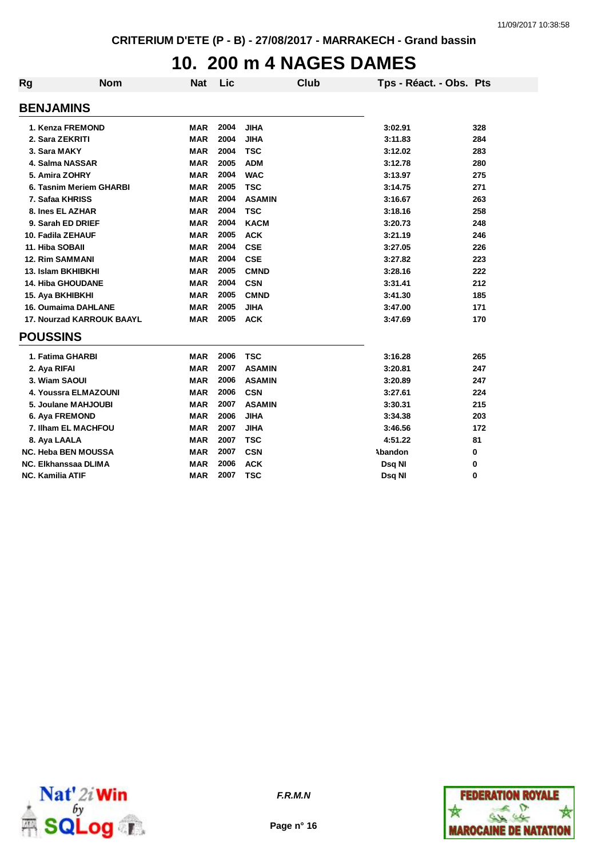## **10. 200 m 4 NAGES DAMES**

| <b>Rg</b>       | <b>Nom</b>                       | <b>Nat</b> | Lic  | <b>Club</b>   | Tps - Réact. - Obs. Pts |     |
|-----------------|----------------------------------|------------|------|---------------|-------------------------|-----|
|                 | <b>BENJAMINS</b>                 |            |      |               |                         |     |
|                 | 1. Kenza FREMOND                 | <b>MAR</b> | 2004 | <b>JIHA</b>   | 3:02.91                 | 328 |
|                 | 2. Sara ZEKRITI                  | <b>MAR</b> | 2004 | <b>JIHA</b>   | 3:11.83                 | 284 |
|                 | 3. Sara MAKY                     | <b>MAR</b> | 2004 | <b>TSC</b>    | 3:12.02                 | 283 |
|                 | 4. Salma NASSAR                  | <b>MAR</b> | 2005 | <b>ADM</b>    | 3:12.78                 | 280 |
|                 | 5. Amira ZOHRY                   | <b>MAR</b> | 2004 | <b>WAC</b>    | 3:13.97                 | 275 |
|                 | 6. Tasnim Meriem GHARBI          | <b>MAR</b> | 2005 | <b>TSC</b>    | 3:14.75                 | 271 |
|                 | 7. Safaa KHRISS                  | <b>MAR</b> | 2004 | <b>ASAMIN</b> | 3:16.67                 | 263 |
|                 | 8. Ines EL AZHAR                 | <b>MAR</b> | 2004 | <b>TSC</b>    | 3:18.16                 | 258 |
|                 | 9. Sarah ED DRIEF                | <b>MAR</b> | 2004 | <b>KACM</b>   | 3:20.73                 | 248 |
|                 | 10. Fadila ZEHAUF                | <b>MAR</b> | 2005 | <b>ACK</b>    | 3:21.19                 | 246 |
|                 | 11. Hiba SOBAII                  | <b>MAR</b> | 2004 | <b>CSE</b>    | 3:27.05                 | 226 |
|                 | <b>12. Rim SAMMANI</b>           | <b>MAR</b> | 2004 | <b>CSE</b>    | 3:27.82                 | 223 |
|                 | 13. Islam BKHIBKHI               | <b>MAR</b> | 2005 | <b>CMND</b>   | 3:28.16                 | 222 |
|                 | 14. Hiba GHOUDANE                | <b>MAR</b> | 2004 | <b>CSN</b>    | 3:31.41                 | 212 |
|                 | 15. Aya BKHIBKHI                 | <b>MAR</b> | 2005 | <b>CMND</b>   | 3:41.30                 | 185 |
|                 | <b>16. Oumaima DAHLANE</b>       | <b>MAR</b> | 2005 | <b>JIHA</b>   | 3:47.00                 | 171 |
|                 | <b>17. Nourzad KARROUK BAAYL</b> | <b>MAR</b> | 2005 | <b>ACK</b>    | 3:47.69                 | 170 |
| <b>POUSSINS</b> |                                  |            |      |               |                         |     |
|                 | 1. Fatima GHARBI                 | <b>MAR</b> | 2006 | <b>TSC</b>    | 3:16.28                 | 265 |
|                 | 2. Aya RIFAI                     | <b>MAR</b> | 2007 | <b>ASAMIN</b> | 3:20.81                 | 247 |
|                 | 3. Wiam SAOUI                    | <b>MAR</b> | 2006 | <b>ASAMIN</b> | 3:20.89                 | 247 |
|                 | 4. Youssra ELMAZOUNI             | <b>MAR</b> | 2006 | <b>CSN</b>    | 3:27.61                 | 224 |
|                 | 5. Joulane MAHJOUBI              | <b>MAR</b> | 2007 | <b>ASAMIN</b> | 3:30.31                 | 215 |
|                 | 6. Aya FREMOND                   | <b>MAR</b> | 2006 | <b>JIHA</b>   | 3:34.38                 | 203 |
|                 | 7. Ilham EL MACHFOU              | <b>MAR</b> | 2007 | <b>JIHA</b>   | 3:46.56                 | 172 |
|                 | 8. Aya LAALA                     | <b>MAR</b> | 2007 | <b>TSC</b>    | 4:51.22                 | 81  |
|                 | <b>NC. Heba BEN MOUSSA</b>       | <b>MAR</b> | 2007 | <b>CSN</b>    | Abandon                 | 0   |
|                 | NC. Elkhanssaa DLIMA             | <b>MAR</b> | 2006 | <b>ACK</b>    | Dsq NI                  | 0   |
|                 | <b>NC. Kamilia ATIF</b>          | <b>MAR</b> | 2007 | <b>TSC</b>    | Dsq NI                  | 0   |



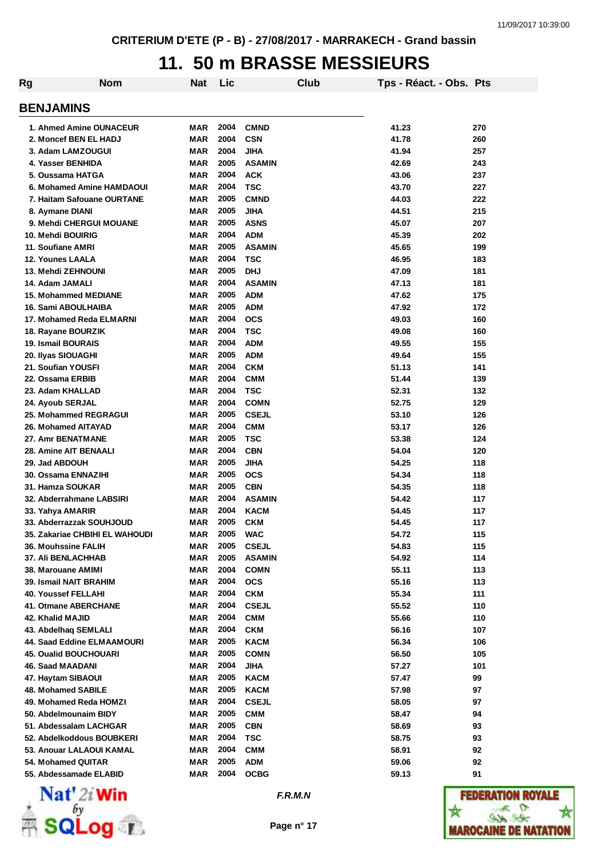## **11. 50 m BRASSE MESSIEURS**

| Rg                             | <b>Nom</b> | Nat        | <b>Lic</b> |               | Club | Tps - Réact. - Obs. Pts |     |
|--------------------------------|------------|------------|------------|---------------|------|-------------------------|-----|
| <b>BENJAMINS</b>               |            |            |            |               |      |                         |     |
| 1. Ahmed Amine OUNACEUR        |            | MAR        | 2004       | <b>CMND</b>   |      | 41.23                   | 270 |
| 2. Moncef BEN EL HADJ          |            | <b>MAR</b> | 2004       | <b>CSN</b>    |      | 41.78                   | 260 |
| 3. Adam LAMZOUGUI              |            | <b>MAR</b> | 2004       | <b>JIHA</b>   |      | 41.94                   | 257 |
| 4. Yasser BENHIDA              |            | <b>MAR</b> | 2005       | <b>ASAMIN</b> |      | 42.69                   | 243 |
| 5. Oussama HATGA               |            | <b>MAR</b> | 2004       | <b>ACK</b>    |      | 43.06                   | 237 |
| 6. Mohamed Amine HAMDAOUI      |            | <b>MAR</b> | 2004       | <b>TSC</b>    |      | 43.70                   | 227 |
| 7. Haitam Safouane OURTANE     |            | <b>MAR</b> | 2005       | <b>CMND</b>   |      | 44.03                   | 222 |
| 8. Aymane DIANI                |            | <b>MAR</b> | 2005       | <b>JIHA</b>   |      | 44.51                   | 215 |
| 9. Mehdi CHERGUI MOUANE        |            | <b>MAR</b> | 2005       | <b>ASNS</b>   |      | 45.07                   | 207 |
| 10. Mehdi BOUIRIG              |            | <b>MAR</b> | 2004       | <b>ADM</b>    |      | 45.39                   | 202 |
| 11. Soufiane AMRI              |            | <b>MAR</b> | 2005       | <b>ASAMIN</b> |      | 45.65                   | 199 |
| 12. Younes LAALA               |            | <b>MAR</b> | 2004       | <b>TSC</b>    |      | 46.95                   | 183 |
| 13. Mehdi ZEHNOUNI             |            | <b>MAR</b> | 2005       | <b>DHJ</b>    |      | 47.09                   | 181 |
| 14. Adam JAMALI                |            | <b>MAR</b> | 2004       | <b>ASAMIN</b> |      | 47.13                   | 181 |
| <b>15. Mohammed MEDIANE</b>    |            | <b>MAR</b> | 2005       | <b>ADM</b>    |      | 47.62                   | 175 |
| 16. Sami ABOULHAIBA            |            | <b>MAR</b> | 2005       | <b>ADM</b>    |      | 47.92                   | 172 |
| 17. Mohamed Reda ELMARNI       |            | <b>MAR</b> | 2004       | <b>OCS</b>    |      | 49.03                   | 160 |
| 18. Rayane BOURZIK             |            | <b>MAR</b> | 2004       | <b>TSC</b>    |      | 49.08                   | 160 |
| <b>19. Ismail BOURAIS</b>      |            | <b>MAR</b> | 2004       | <b>ADM</b>    |      | 49.55                   | 155 |
| 20. Ilyas SIOUAGHI             |            | <b>MAR</b> | 2005       | <b>ADM</b>    |      | 49.64                   | 155 |
| 21. Soufian YOUSFI             |            | <b>MAR</b> | 2004       | <b>CKM</b>    |      | 51.13                   | 141 |
| 22. Ossama ERBIB               |            | <b>MAR</b> | 2004       | <b>CMM</b>    |      | 51.44                   | 139 |
| 23. Adam KHALLAD               |            | <b>MAR</b> | 2004       | <b>TSC</b>    |      | 52.31                   | 132 |
| 24. Ayoub SERJAL               |            | <b>MAR</b> | 2004       | <b>COMN</b>   |      | 52.75                   | 129 |
| 25. Mohammed REGRAGUI          |            | <b>MAR</b> | 2005       | <b>CSEJL</b>  |      | 53.10                   | 126 |
| <b>26. Mohamed AITAYAD</b>     |            | <b>MAR</b> | 2004       | <b>CMM</b>    |      | 53.17                   | 126 |
| 27. Amr BENATMANE              |            | <b>MAR</b> | 2005       | <b>TSC</b>    |      | 53.38                   | 124 |
| 28. Amine AIT BENAALI          |            | MAR        | 2004       | <b>CBN</b>    |      | 54.04                   | 120 |
| 29. Jad ABDOUH                 |            | MAR        | 2005       | <b>JIHA</b>   |      | 54.25                   | 118 |
| 30. Ossama ENNAZIHI            |            | MAR        | 2005       | <b>OCS</b>    |      | 54.34                   | 118 |
| 31. Hamza SOUKAR               |            | MAR        | 2005       | <b>CBN</b>    |      | 54.35                   | 118 |
| 32. Abderrahmane LABSIRI       |            | <b>MAR</b> | 2004       | <b>ASAMIN</b> |      | 54.42                   | 117 |
| 33. Yahya AMARIR               |            | MAR        | 2004       | <b>KACM</b>   |      | 54.45                   | 117 |
| 33. Abderrazzak SOUHJOUD       |            | MAR        | 2005       | <b>CKM</b>    |      | 54.45                   | 117 |
| 35. Zakariae CHBIHI EL WAHOUDI |            | MAR        | 2005       | <b>WAC</b>    |      | 54.72                   | 115 |
| <b>36. Mouhssine FALIH</b>     |            | MAR        | 2005       | <b>CSEJL</b>  |      | 54.83                   | 115 |
| <b>37. Ali BENLACHHAB</b>      |            | <b>MAR</b> | 2005       | <b>ASAMIN</b> |      | 54.92                   | 114 |
| 38. Marouane AMIMI             |            | MAR        | 2004       | <b>COMN</b>   |      | 55.11                   | 113 |
| 39. Ismail NAIT BRAHIM         |            | <b>MAR</b> | 2004       | <b>OCS</b>    |      | 55.16                   | 113 |
| 40. Youssef FELLAHI            |            | MAR        | 2004       | <b>CKM</b>    |      | 55.34                   | 111 |
| 41. Otmane ABERCHANE           |            | MAR        | 2004       | <b>CSEJL</b>  |      | 55.52                   | 110 |
| 42. Khalid MAJID               |            | <b>MAR</b> | 2004       | <b>CMM</b>    |      | 55.66                   | 110 |
| 43. Abdelhag SEMLALI           |            | MAR        | 2004       | <b>CKM</b>    |      | 56.16                   | 107 |
| 44. Saad Eddine ELMAAMOURI     |            | MAR        | 2005       | <b>KACM</b>   |      | 56.34                   | 106 |
| <b>45. Oualid BOUCHOUARI</b>   |            | MAR        | 2005       | <b>COMN</b>   |      | 56.50                   | 105 |
| 46. Saad MAADANI               |            | MAR        | 2004       | <b>JIHA</b>   |      | 57.27                   | 101 |
| 47. Haytam SIBAOUI             |            | <b>MAR</b> | 2005       | <b>KACM</b>   |      | 57.47                   | 99  |
| 48. Mohamed SABILE             |            | MAR        | 2005       | <b>KACM</b>   |      | 57.98                   | 97  |
| 49. Mohamed Reda HOMZI         |            | MAR        | 2004       | <b>CSEJL</b>  |      | 58.05                   | 97  |
| 50. Abdelmounaim BIDY          |            | MAR        | 2005       | <b>CMM</b>    |      | 58.47                   | 94  |
| 51. Abdessalam LACHGAR         |            | MAR        | 2005       | <b>CBN</b>    |      | 58.69                   | 93  |
| 52. Abdelkoddous BOUBKERI      |            | MAR        | 2004       | <b>TSC</b>    |      | 58.75                   | 93  |
| 53. Anouar LALAOUI KAMAL       |            | MAR        | 2004       | <b>CMM</b>    |      | 58.91                   | 92  |
| 54. Mohamed QUITAR             |            | MAR        | 2005       | <b>ADM</b>    |      | 59.06                   | 92  |
| 55. Abdessamade ELABID         |            | MAR        | 2004       | <b>OCBG</b>   |      | 59.13                   | 91  |



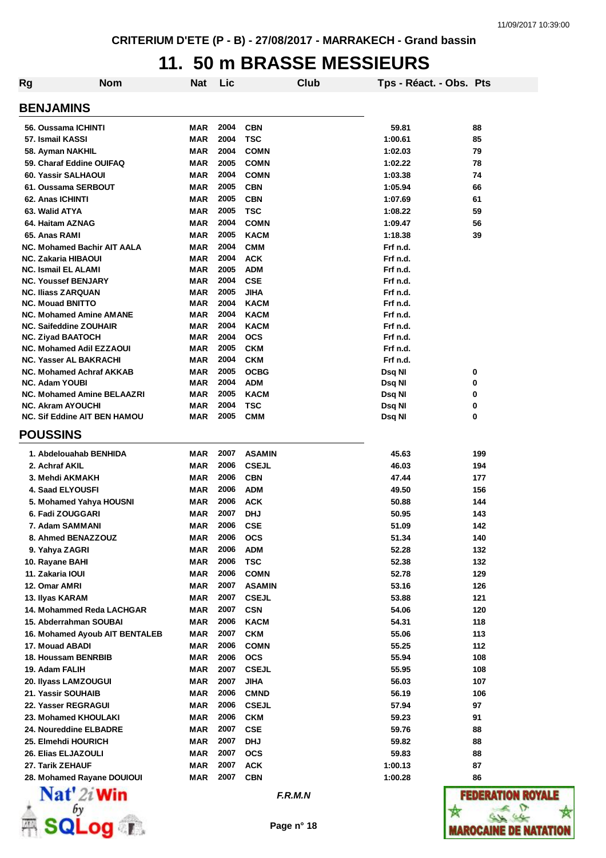#### **11. 50 m BRASSE MESSIEURS**

| Rg | Nom                                                              | Nat               | Lic          |                          | Club | Tps - Réact. - Obs. Pts |         |
|----|------------------------------------------------------------------|-------------------|--------------|--------------------------|------|-------------------------|---------|
|    |                                                                  |                   |              |                          |      |                         |         |
|    | <b>BENJAMINS</b>                                                 |                   |              |                          |      |                         |         |
|    | 56. Oussama ICHINTI                                              | MAR               | 2004         | <b>CBN</b>               |      | 59.81                   | 88      |
|    | 57. Ismail KASSI                                                 | MAR               | 2004         | <b>TSC</b>               |      | 1:00.61                 | 85      |
|    | 58. Ayman NAKHIL                                                 | MAR               | 2004         | <b>COMN</b>              |      | 1:02.03                 | 79      |
|    | 59. Charaf Eddine OUIFAQ                                         | MAR               | 2005         | <b>COMN</b>              |      | 1:02.22                 | 78      |
|    | 60. Yassir SALHAOUI                                              | MAR               | 2004         | <b>COMN</b>              |      | 1:03.38                 | 74      |
|    | 61. Oussama SERBOUT                                              | <b>MAR</b>        | 2005         | <b>CBN</b>               |      | 1:05.94                 | 66      |
|    | 62. Anas ICHINTI                                                 | <b>MAR</b>        | 2005         | <b>CBN</b>               |      | 1:07.69                 | 61      |
|    | 63. Walid ATYA                                                   | <b>MAR</b>        | 2005         | <b>TSC</b>               |      | 1:08.22                 | 59      |
|    | 64. Haitam AZNAG                                                 | <b>MAR</b>        | 2004         | <b>COMN</b>              |      | 1:09.47                 | 56      |
|    | 65. Anas RAMI                                                    | MAR               | 2005         | <b>KACM</b>              |      | 1:18.38                 | 39      |
|    | <b>NC. Mohamed Bachir AIT AALA</b>                               | <b>MAR</b>        | 2004         | <b>CMM</b>               |      | Frf n.d.                |         |
|    | <b>NC. Zakaria HIBAOUI</b>                                       | <b>MAR</b>        | 2004         | <b>ACK</b>               |      | Frf n.d.                |         |
|    | <b>NC. Ismail EL ALAMI</b>                                       | <b>MAR</b>        | 2005         | <b>ADM</b>               |      | Frf n.d.                |         |
|    | <b>NC. Youssef BENJARY</b>                                       | MAR               | 2004         | <b>CSE</b>               |      | Frf n.d.                |         |
|    | <b>NC. Iliass ZARQUAN</b>                                        | MAR               | 2005         | <b>JIHA</b>              |      | Frf n.d.                |         |
|    | <b>NC. Mouad BNITTO</b>                                          | <b>MAR</b>        | 2004         | <b>KACM</b>              |      | Frf n.d.                |         |
|    | <b>NC. Mohamed Amine AMANE</b>                                   | MAR               | 2004         | <b>KACM</b>              |      | Frf n.d.                |         |
|    | <b>NC. Saifeddine ZOUHAIR</b>                                    | MAR               | 2004         | <b>KACM</b>              |      | Frf n.d.                |         |
|    | <b>NC. Ziyad BAATOCH</b>                                         | <b>MAR</b>        | 2004<br>2005 | <b>OCS</b><br><b>CKM</b> |      | Frf n.d.                |         |
|    | <b>NC. Mohamed Adil EZZAOUI</b><br><b>NC. Yasser AL BAKRACHI</b> | MAR<br><b>MAR</b> | 2004         | <b>CKM</b>               |      | Frf n.d.<br>Frf n.d.    |         |
|    | NC. Mohamed Achraf AKKAB                                         | MAR               | 2005         | <b>OCBG</b>              |      | Dsq NI                  | 0       |
|    | <b>NC. Adam YOUBI</b>                                            | <b>MAR</b>        | 2004         | <b>ADM</b>               |      | Dsq NI                  | 0       |
|    | <b>NC. Mohamed Amine BELAAZRI</b>                                | MAR               | 2005         | <b>KACM</b>              |      | Dsq NI                  | 0       |
|    | <b>NC. Akram AYOUCHI</b>                                         | <b>MAR</b>        | 2004         | <b>TSC</b>               |      | Dsq NI                  | 0       |
|    | <b>NC. Sif Eddine AIT BEN HAMOU</b>                              | <b>MAR</b>        | 2005         | <b>CMM</b>               |      | Dsq NI                  | 0       |
|    | <b>POUSSINS</b>                                                  |                   |              |                          |      |                         |         |
|    | 1. Abdelouahab BENHIDA                                           | MAR               | 2007         | <b>ASAMIN</b>            |      | 45.63                   | 199     |
|    | 2. Achraf AKIL                                                   | MAR               | 2006         | <b>CSEJL</b>             |      | 46.03                   | 194     |
|    | 3. Mehdi AKMAKH                                                  | <b>MAR</b>        | 2006         | <b>CBN</b>               |      | 47.44                   | 177     |
|    | <b>4. Saad ELYOUSFI</b>                                          | MAR               | 2006         | <b>ADM</b>               |      | 49.50                   | 156     |
|    | 5. Mohamed Yahya HOUSNI                                          | MAR               | 2006         | <b>ACK</b>               |      | 50.88                   | 144     |
|    | 6. Fadi ZOUGGARI                                                 | MAR               | 2007         | <b>DHJ</b>               |      | 50.95                   | 143     |
|    | 7. Adam SAMMANI                                                  | MAR               | 2006         | <b>CSE</b>               |      | 51.09                   | 142     |
|    | 8. Ahmed BENAZZOUZ                                               | MAR               | 2006         | <b>OCS</b>               |      | 51.34                   | 140     |
|    | 9. Yahya ZAGRI                                                   | <b>MAR</b>        | 2006         | <b>ADM</b>               |      | 52.28                   | 132     |
|    | 10. Rayane BAHI                                                  | <b>MAR</b>        | 2006         | <b>TSC</b>               |      | 52.38                   | 132     |
|    | 11. Zakaria IOUI                                                 | <b>MAR</b>        | 2006         | <b>COMN</b>              |      | 52.78                   | 129     |
|    | 12. Omar AMRI                                                    | MAR               | 2007         | <b>ASAMIN</b>            |      | 53.16                   | 126     |
|    | 13. Ilyas KARAM                                                  | MAR               | 2007         | <b>CSEJL</b>             |      | 53.88                   | 121     |
|    | 14. Mohammed Reda LACHGAR                                        | MAR               | 2007         | <b>CSN</b>               |      | 54.06                   | 120     |
|    | 15. Abderrahman SOUBAI                                           | MAR               | 2006         | <b>KACM</b>              |      | 54.31                   | 118     |
|    | 16. Mohamed Ayoub AIT BENTALEB                                   | MAR               | 2007         | <b>CKM</b>               |      | 55.06                   | 113     |
|    | 17. Mouad ABADI                                                  | <b>MAR</b>        | 2006         | <b>COMN</b>              |      | 55.25                   | 112     |
|    | 18. Houssam BENRBIB                                              | MAR               | 2006         | <b>OCS</b>               |      | 55.94                   | 108     |
|    | 19. Adam FALIH                                                   | <b>MAR</b>        | 2007         | <b>CSEJL</b>             |      | 55.95                   | 108     |
|    | 20. Ilyass LAMZOUGUI                                             | <b>MAR</b>        | 2007         | <b>JIHA</b>              |      | 56.03                   | 107     |
|    | 21. Yassir SOUHAIB                                               | MAR               | 2006         | <b>CMND</b>              |      | 56.19                   | 106     |
|    | 22. Yasser REGRAGUI                                              | <b>MAR</b>        | 2006         | <b>CSEJL</b>             |      | 57.94                   | 97      |
|    | 23. Mohamed KHOULAKI                                             | <b>MAR</b>        | 2006         | <b>CKM</b>               |      | 59.23                   | 91      |
|    | 24. Noureddine ELBADRE                                           | <b>MAR</b>        | 2007         | <b>CSE</b>               |      | 59.76                   | 88      |
|    | 25. Elmehdi HOURICH                                              | <b>MAR</b>        | 2007         | <b>DHJ</b>               |      | 59.82                   | 88      |
|    | 26. Elias ELJAZOULI                                              | MAR               | 2007         | <b>OCS</b>               |      | 59.83                   | 88      |
|    | 27. Tarik ZEHAUF                                                 | MAR               | 2007         | <b>ACK</b>               |      | 1:00.13                 | 87      |
|    | 28. Mohamed Rayane DOUIOUI                                       | <b>MAR</b>        | 2007         | <b>CBN</b>               |      | 1:00.28                 | 86      |
|    | $\mathbf{Nat}'$ 2i Win                                           |                   |              | F.R.M.N                  |      |                         | FEDE    |
|    |                                                                  |                   |              |                          |      |                         |         |
|    |                                                                  |                   |              | Page n° 18               |      |                         |         |
|    |                                                                  |                   |              |                          |      |                         | IAROCAI |

**ROYALE**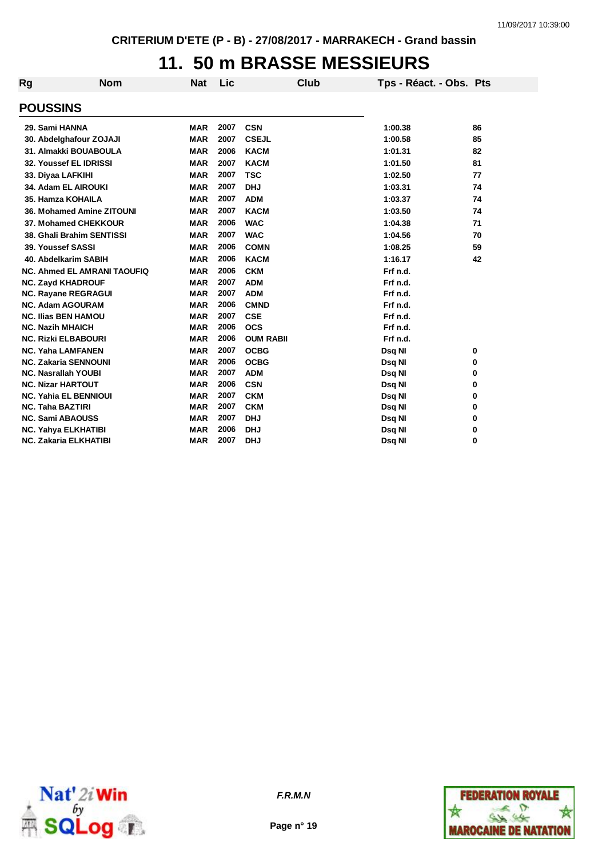## **11. 50 m BRASSE MESSIEURS**

| Rg                      | <b>Nom</b>                         | <b>Nat</b> | Lic  | Club             | Tps - Réact. - Obs. Pts |    |
|-------------------------|------------------------------------|------------|------|------------------|-------------------------|----|
| <b>POUSSINS</b>         |                                    |            |      |                  |                         |    |
| 29. Sami HANNA          |                                    | <b>MAR</b> | 2007 | <b>CSN</b>       | 1:00.38                 | 86 |
|                         | 30. Abdelghafour ZOJAJI            | <b>MAR</b> | 2007 | <b>CSEJL</b>     | 1:00.58                 | 85 |
|                         | 31. Almakki BOUABOULA              | <b>MAR</b> | 2006 | <b>KACM</b>      | 1:01.31                 | 82 |
|                         | 32. Youssef EL IDRISSI             | <b>MAR</b> | 2007 | <b>KACM</b>      | 1:01.50                 | 81 |
|                         | 33. Diyaa LAFKIHI                  | <b>MAR</b> | 2007 | <b>TSC</b>       | 1:02.50                 | 77 |
|                         | 34. Adam EL AIROUKI                | <b>MAR</b> | 2007 | <b>DHJ</b>       | 1:03.31                 | 74 |
|                         | 35. Hamza KOHAILA                  | <b>MAR</b> | 2007 | <b>ADM</b>       | 1:03.37                 | 74 |
|                         | 36. Mohamed Amine ZITOUNI          | <b>MAR</b> | 2007 | <b>KACM</b>      | 1:03.50                 | 74 |
|                         | 37. Mohamed CHEKKOUR               | <b>MAR</b> | 2006 | <b>WAC</b>       | 1:04.38                 | 71 |
|                         | 38. Ghali Brahim SENTISSI          | <b>MAR</b> | 2007 | <b>WAC</b>       | 1:04.56                 | 70 |
|                         | 39. Youssef SASSI                  | <b>MAR</b> | 2006 | <b>COMN</b>      | 1:08.25                 | 59 |
|                         | 40. Abdelkarim SABIH               | <b>MAR</b> | 2006 | <b>KACM</b>      | 1:16.17                 | 42 |
|                         | <b>NC. Ahmed EL AMRANI TAOUFIQ</b> | <b>MAR</b> | 2006 | <b>CKM</b>       | Frf n.d.                |    |
|                         | <b>NC. Zayd KHADROUF</b>           | <b>MAR</b> | 2007 | <b>ADM</b>       | Frf n.d.                |    |
|                         | <b>NC. Rayane REGRAGUI</b>         | <b>MAR</b> | 2007 | <b>ADM</b>       | Frf n.d.                |    |
|                         | <b>NC. Adam AGOURAM</b>            | <b>MAR</b> | 2006 | <b>CMND</b>      | Frf n.d.                |    |
|                         | <b>NC. Ilias BEN HAMOU</b>         | <b>MAR</b> | 2007 | <b>CSE</b>       | Frf n.d.                |    |
| <b>NC. Nazih MHAICH</b> |                                    | <b>MAR</b> | 2006 | <b>OCS</b>       | Frf n.d.                |    |
|                         | <b>NC. Rizki ELBABOURI</b>         | <b>MAR</b> | 2006 | <b>OUM RABII</b> | Frf n.d.                |    |
|                         | <b>NC. Yaha LAMFANEN</b>           | <b>MAR</b> | 2007 | <b>OCBG</b>      | Dsq NI                  | 0  |
|                         | <b>NC. Zakaria SENNOUNI</b>        | <b>MAR</b> | 2006 | <b>OCBG</b>      | Dsq NI                  | 0  |
|                         | <b>NC. Nasrallah YOUBI</b>         | <b>MAR</b> | 2007 | <b>ADM</b>       | Dsq NI                  | 0  |
|                         | <b>NC. Nizar HARTOUT</b>           | <b>MAR</b> | 2006 | <b>CSN</b>       | Dsq NI                  | 0  |
|                         | <b>NC. Yahia EL BENNIOUI</b>       | <b>MAR</b> | 2007 | <b>CKM</b>       | Dsq NI                  | 0  |
| <b>NC. Taha BAZTIRI</b> |                                    | <b>MAR</b> | 2007 | <b>CKM</b>       | Dsq NI                  | 0  |
|                         | <b>NC. Sami ABAOUSS</b>            | <b>MAR</b> | 2007 | <b>DHJ</b>       | Dsq NI                  | 0  |
|                         | <b>NC. Yahya ELKHATIBI</b>         | <b>MAR</b> | 2006 | <b>DHJ</b>       | Dsq NI                  | 0  |
|                         | <b>NC. Zakaria ELKHATIBI</b>       | <b>MAR</b> | 2007 | <b>DHJ</b>       | Dsg NI                  | 0  |





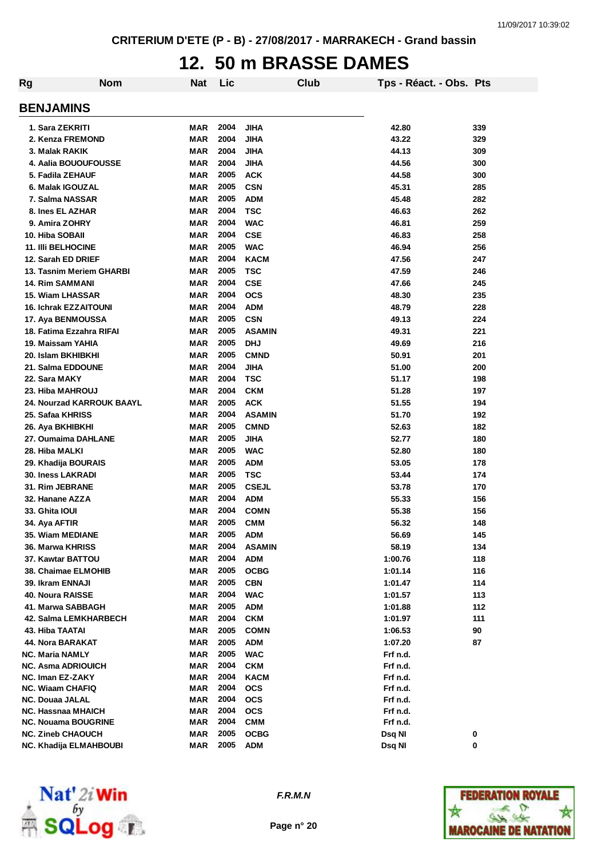# **12. 50 m BRASSE DAMES**

| Rg | <b>Nom</b>                                      | Nat        | Lic          |                             | Club | Tps - Réact. - Obs. Pts |            |
|----|-------------------------------------------------|------------|--------------|-----------------------------|------|-------------------------|------------|
|    | <b>BENJAMINS</b>                                |            |              |                             |      |                         |            |
|    | 1. Sara ZEKRITI                                 | MAR        | 2004         | JIHA                        |      | 42.80                   | 339        |
|    | 2. Kenza FREMOND                                | MAR        | 2004         | <b>JIHA</b>                 |      | 43.22                   | 329        |
|    | 3. Malak RAKIK                                  | <b>MAR</b> | 2004         | <b>JIHA</b>                 |      | 44.13                   | 309        |
|    | 4. Aalia BOUOUFOUSSE                            | <b>MAR</b> | 2004         | <b>JIHA</b>                 |      | 44.56                   | 300        |
|    | 5. Fadila ZEHAUF                                | <b>MAR</b> | 2005         | <b>ACK</b>                  |      | 44.58                   | 300        |
|    | 6. Malak IGOUZAL                                | <b>MAR</b> | 2005         | <b>CSN</b>                  |      | 45.31                   | 285        |
|    | 7. Salma NASSAR                                 | <b>MAR</b> | 2005         | <b>ADM</b>                  |      | 45.48                   | 282        |
|    | 8. Ines EL AZHAR                                | MAR        | 2004         | TSC                         |      | 46.63                   | 262        |
|    | 9. Amira ZOHRY                                  | MAR        | 2004         | <b>WAC</b>                  |      | 46.81                   | 259        |
|    | 10. Hiba SOBAII                                 | <b>MAR</b> | 2004         | <b>CSE</b>                  |      | 46.83                   | 258        |
|    | <b>11. IIII BELHOCINE</b>                       | <b>MAR</b> | 2005         | <b>WAC</b>                  |      | 46.94                   | 256        |
|    | 12. Sarah ED DRIEF                              | <b>MAR</b> | 2004         | <b>KACM</b>                 |      | 47.56                   | 247        |
|    | 13. Tasnim Meriem GHARBI                        | <b>MAR</b> | 2005         | TSC                         |      | 47.59                   | 246        |
|    | <b>14. Rim SAMMANI</b>                          | <b>MAR</b> | 2004         | <b>CSE</b>                  |      | 47.66                   | 245        |
|    | 15. Wiam LHASSAR                                | <b>MAR</b> | 2004         | <b>OCS</b>                  |      | 48.30                   | 235        |
|    | <b>16. Ichrak EZZAITOUNI</b>                    | <b>MAR</b> | 2004         | <b>ADM</b>                  |      | 48.79                   | 228        |
|    | 17. Aya BENMOUSSA                               | <b>MAR</b> | 2005         | <b>CSN</b>                  |      | 49.13                   | 224        |
|    | 18. Fatima Ezzahra RIFAI                        | <b>MAR</b> | 2005         | <b>ASAMIN</b>               |      | 49.31                   | 221        |
|    | 19. Maissam YAHIA                               | <b>MAR</b> | 2005         | <b>DHJ</b>                  |      | 49.69                   | 216        |
|    | 20. Islam BKHIBKHI                              | MAR        | 2005         | <b>CMND</b>                 |      | 50.91                   | 201        |
|    | 21. Salma EDDOUNE                               | MAR        | 2004         | JIHA                        |      | 51.00                   | 200        |
|    | 22. Sara MAKY                                   | MAR        | 2004         | <b>TSC</b>                  |      | 51.17                   | 198        |
|    | 23. Hiba MAHROUJ                                | MAR        | 2004         | <b>CKM</b>                  |      | 51.28                   | 197        |
|    | <b>24. Nourzad KARROUK BAAYL</b>                | <b>MAR</b> | 2005         | <b>ACK</b>                  |      | 51.55                   | 194        |
|    | 25. Safaa KHRISS                                | MAR        | 2004         | <b>ASAMIN</b>               |      | 51.70                   | 192        |
|    |                                                 | <b>MAR</b> | 2005         | <b>CMND</b>                 |      | 52.63                   |            |
|    | 26. Aya BKHIBKHI<br>27. Oumaima DAHLANE         | MAR        | 2005         | JIHA                        |      | 52.77                   | 182<br>180 |
|    | 28. Hiba MALKI                                  | MAR        | 2005         | <b>WAC</b>                  |      | 52.80                   | 180        |
|    |                                                 | MAR        | 2005         | <b>ADM</b>                  |      | 53.05                   | 178        |
|    | 29. Khadija BOURAIS<br><b>30. Iness LAKRADI</b> | <b>MAR</b> | 2005         | TSC                         |      | 53.44                   | 174        |
|    | 31. Rim JEBRANE                                 | <b>MAR</b> | 2005         | <b>CSEJL</b>                |      | 53.78                   | 170        |
|    |                                                 | <b>MAR</b> | 2004         |                             |      |                         |            |
|    | 32. Hanane AZZA                                 |            | 2004         | <b>ADM</b><br><b>COMN</b>   |      | 55.33                   | 156        |
|    | 33. Ghita IOUI                                  | MAR        | 2005         |                             |      | 55.38                   | 156        |
|    | 34. Aya AFTIR<br>35. Wiam MEDIANE               | MAR        |              | <b>CMM</b>                  |      | 56.32                   | 148        |
|    | 36. Marwa KHRISS                                | MAR        | 2005<br>2004 | <b>ADM</b><br><b>ASAMIN</b> |      | 56.69                   | 145        |
|    |                                                 | MAR        |              |                             |      | 58.19                   | 134        |
|    | 37. Kawtar BATTOU                               | MAR        | 2004         | <b>ADM</b>                  |      | 1:00.76                 | 118        |
|    | 38. Chaimae ELMOHIB                             | MAR        | 2005         | <b>OCBG</b>                 |      | 1:01.14                 | 116        |
|    | 39. Ikram ENNAJI                                | MAR        | 2005         | <b>CBN</b>                  |      | 1:01.47                 | 114        |
|    | <b>40. Noura RAISSE</b>                         | MAR        | 2004         | <b>WAC</b>                  |      | 1:01.57                 | 113        |
|    | 41. Marwa SABBAGH                               | MAR        | 2005         | <b>ADM</b>                  |      | 1:01.88                 | 112        |
|    | <b>42. Salma LEMKHARBECH</b>                    | MAR        | 2004         | <b>CKM</b>                  |      | 1:01.97                 | 111        |
|    | 43. Hiba TAATAI                                 | MAR        | 2005         | <b>COMN</b>                 |      | 1:06.53                 | 90         |
|    | 44. Nora BARAKAT                                | MAR        | 2005         | <b>ADM</b>                  |      | 1:07.20                 | 87         |
|    | <b>NC. Maria NAMLY</b>                          | MAR        | 2005         | <b>WAC</b>                  |      | Frf n.d.                |            |
|    | <b>NC. Asma ADRIOUICH</b>                       | MAR        | 2004         | <b>CKM</b>                  |      | Frf n.d.                |            |
|    | NC. Iman EZ-ZAKY<br><b>NC. Wiaam CHAFIQ</b>     | MAR<br>MAR | 2004<br>2004 | <b>KACM</b><br>ocs          |      | Frf n.d.<br>Frf n.d.    |            |
|    | <b>NC. Douaa JALAL</b>                          | MAR        | 2004         | ocs                         |      | Frf n.d.                |            |
|    | NC. Hassnaa MHAICH                              | MAR        | 2004         | <b>OCS</b>                  |      | Frf n.d.                |            |
|    | <b>NC. Nouama BOUGRINE</b>                      | MAR        | 2004         | <b>CMM</b>                  |      | Frf n.d.                |            |
|    | <b>NC. Zineb CHAOUCH</b>                        | <b>MAR</b> | 2005         | <b>OCBG</b>                 |      | Dsq NI                  | 0          |
|    | NC. Khadija ELMAHBOUBI                          | MAR        | 2005         | <b>ADM</b>                  |      | Dsq NI                  | 0          |
|    |                                                 |            |              |                             |      |                         |            |



*F.R.M.N*

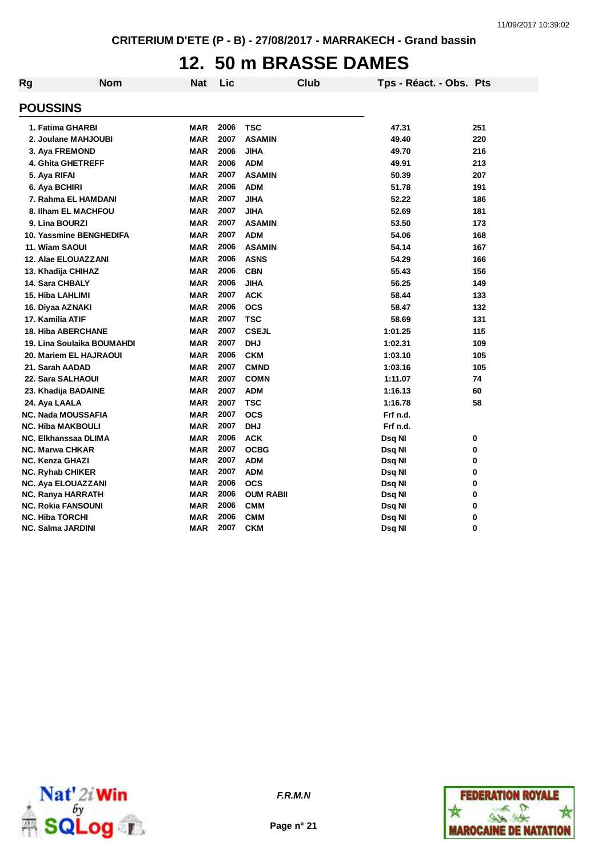# **12. 50 m BRASSE DAMES**

| Rg                     | <b>Nom</b>                 | <b>Nat</b> | Lic  | <b>Club</b>      | Tps - Réact. - Obs. Pts |     |
|------------------------|----------------------------|------------|------|------------------|-------------------------|-----|
| <b>POUSSINS</b>        |                            |            |      |                  |                         |     |
|                        | 1. Fatima GHARBI           | <b>MAR</b> | 2006 | <b>TSC</b>       | 47.31                   | 251 |
|                        | 2. Joulane MAHJOUBI        | <b>MAR</b> | 2007 | <b>ASAMIN</b>    | 49.40                   | 220 |
|                        | 3. Aya FREMOND             | <b>MAR</b> | 2006 | <b>JIHA</b>      | 49.70                   | 216 |
|                        | 4. Ghita GHETREFF          | <b>MAR</b> | 2006 | <b>ADM</b>       | 49.91                   | 213 |
| 5. Aya RIFAI           |                            | <b>MAR</b> | 2007 | <b>ASAMIN</b>    | 50.39                   | 207 |
| 6. Aya BCHIRI          |                            | <b>MAR</b> | 2006 | <b>ADM</b>       | 51.78                   | 191 |
|                        | 7. Rahma EL HAMDANI        | <b>MAR</b> | 2007 | <b>JIHA</b>      | 52.22                   | 186 |
|                        | 8. Ilham EL MACHFOU        | <b>MAR</b> | 2007 | <b>JIHA</b>      | 52.69                   | 181 |
| 9. Lina BOURZI         |                            | <b>MAR</b> | 2007 | <b>ASAMIN</b>    | 53.50                   | 173 |
|                        | 10. Yassmine BENGHEDIFA    | <b>MAR</b> | 2007 | <b>ADM</b>       | 54.06                   | 168 |
| 11. Wiam SAOUI         |                            | <b>MAR</b> | 2006 | <b>ASAMIN</b>    | 54.14                   | 167 |
|                        | 12. Alae ELOUAZZANI        | <b>MAR</b> | 2006 | <b>ASNS</b>      | 54.29                   | 166 |
|                        | 13. Khadija CHIHAZ         | <b>MAR</b> | 2006 | <b>CBN</b>       | 55.43                   | 156 |
| 14. Sara CHBALY        |                            | <b>MAR</b> | 2006 | <b>JIHA</b>      | 56.25                   | 149 |
| 15. Hiba LAHLIMI       |                            | <b>MAR</b> | 2007 | <b>ACK</b>       | 58.44                   | 133 |
| 16. Diyaa AZNAKI       |                            | MAR        | 2006 | <b>OCS</b>       | 58.47                   | 132 |
| 17. Kamilia ATIF       |                            | <b>MAR</b> | 2007 | <b>TSC</b>       | 58.69                   | 131 |
|                        | <b>18. Hiba ABERCHANE</b>  | <b>MAR</b> | 2007 | <b>CSEJL</b>     | 1:01.25                 | 115 |
|                        | 19. Lina Soulaika BOUMAHDI | <b>MAR</b> | 2007 | <b>DHJ</b>       | 1:02.31                 | 109 |
|                        | 20. Mariem EL HAJRAOUI     | <b>MAR</b> | 2006 | <b>CKM</b>       | 1:03.10                 | 105 |
| 21. Sarah AADAD        |                            | MAR        | 2007 | <b>CMND</b>      | 1:03.16                 | 105 |
|                        | 22. Sara SALHAOUI          | MAR        | 2007 | <b>COMN</b>      | 1:11.07                 | 74  |
|                        | 23. Khadija BADAINE        | <b>MAR</b> | 2007 | <b>ADM</b>       | 1:16.13                 | 60  |
| 24. Aya LAALA          |                            | <b>MAR</b> | 2007 | <b>TSC</b>       | 1:16.78                 | 58  |
|                        | <b>NC. Nada MOUSSAFIA</b>  | <b>MAR</b> | 2007 | <b>OCS</b>       | Frf n.d.                |     |
|                        | <b>NC. Hiba MAKBOULI</b>   | <b>MAR</b> | 2007 | <b>DHJ</b>       | Frf n.d.                |     |
|                        | NC. Elkhanssaa DLIMA       | <b>MAR</b> | 2006 | <b>ACK</b>       | Dsq NI                  | 0   |
| <b>NC. Marwa CHKAR</b> |                            | <b>MAR</b> | 2007 | <b>OCBG</b>      | Dsq NI                  | 0   |
| NC. Kenza GHAZI        |                            | <b>MAR</b> | 2007 | <b>ADM</b>       | Dsq NI                  | 0   |
| NC. Ryhab CHIKER       |                            | <b>MAR</b> | 2007 | <b>ADM</b>       | Dsq NI                  | 0   |
|                        | <b>NC. Aya ELOUAZZANI</b>  | <b>MAR</b> | 2006 | <b>OCS</b>       | Dsq NI                  | 0   |
|                        | NC. Ranya HARRATH          | <b>MAR</b> | 2006 | <b>OUM RABII</b> | Dsq NI                  | 0   |
|                        | <b>NC. Rokia FANSOUNI</b>  | <b>MAR</b> | 2006 | <b>CMM</b>       | Dsq NI                  | 0   |
| <b>NC. Hiba TORCHI</b> |                            | <b>MAR</b> | 2006 | <b>CMM</b>       | Dsq NI                  | 0   |
| NC. Salma JARDINI      |                            | <b>MAR</b> | 2007 | <b>CKM</b>       | Dsq Nl                  | 0   |



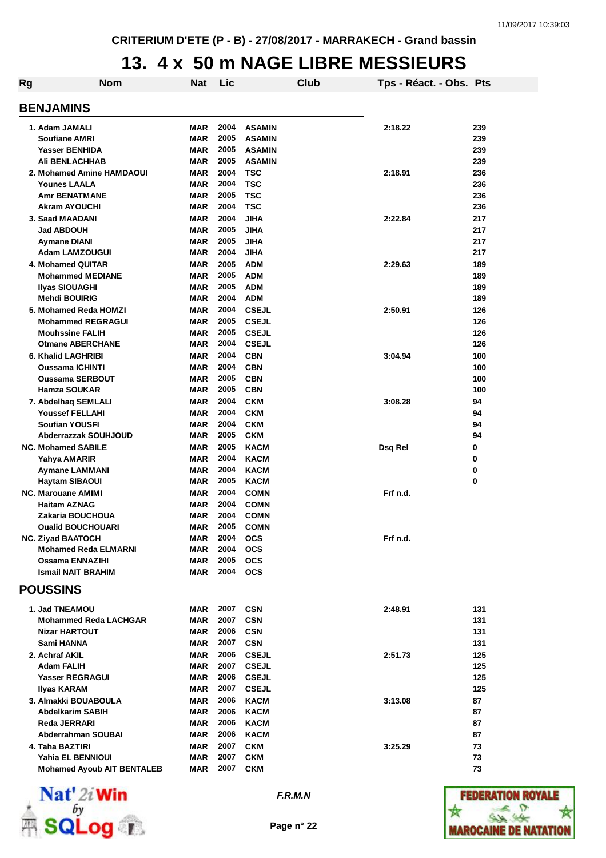#### **13. 4 x 50 m NAGE LIBRE MESSIEURS**

| Rg | <b>Nom</b>                        | Nat        | Lic  |               | Club | Tps - Réact. - Obs. Pts |     |
|----|-----------------------------------|------------|------|---------------|------|-------------------------|-----|
|    | <b>BENJAMINS</b>                  |            |      |               |      |                         |     |
|    |                                   |            |      |               |      |                         |     |
|    | 1. Adam JAMALI                    | MAR        | 2004 | <b>ASAMIN</b> |      | 2:18.22                 | 239 |
|    | <b>Soufiane AMRI</b>              | <b>MAR</b> | 2005 | <b>ASAMIN</b> |      |                         | 239 |
|    | <b>Yasser BENHIDA</b>             | <b>MAR</b> | 2005 | <b>ASAMIN</b> |      |                         | 239 |
|    | <b>Ali BENLACHHAB</b>             | <b>MAR</b> | 2005 | <b>ASAMIN</b> |      |                         | 239 |
|    | 2. Mohamed Amine HAMDAOUI         | <b>MAR</b> | 2004 | <b>TSC</b>    |      | 2:18.91                 | 236 |
|    | <b>Younes LAALA</b>               | <b>MAR</b> | 2004 | <b>TSC</b>    |      |                         | 236 |
|    | <b>Amr BENATMANE</b>              | MAR        | 2005 | <b>TSC</b>    |      |                         | 236 |
|    | <b>Akram AYOUCHI</b>              | MAR        | 2004 | <b>TSC</b>    |      |                         | 236 |
|    | 3. Saad MAADANI                   | MAR        | 2004 | <b>JIHA</b>   |      | 2:22.84                 | 217 |
|    | <b>Jad ABDOUH</b>                 | <b>MAR</b> | 2005 | <b>JIHA</b>   |      |                         | 217 |
|    | Aymane DIANI                      | <b>MAR</b> | 2005 | <b>JIHA</b>   |      |                         | 217 |
|    | <b>Adam LAMZOUGUI</b>             | <b>MAR</b> | 2004 | <b>JIHA</b>   |      |                         | 217 |
|    | 4. Mohamed QUITAR                 | <b>MAR</b> | 2005 | <b>ADM</b>    |      | 2:29.63                 | 189 |
|    | <b>Mohammed MEDIANE</b>           | <b>MAR</b> | 2005 | <b>ADM</b>    |      |                         | 189 |
|    | Ilyas SIOUAGHI                    | <b>MAR</b> | 2005 | <b>ADM</b>    |      |                         | 189 |
|    | <b>Mehdi BOUIRIG</b>              | <b>MAR</b> | 2004 | <b>ADM</b>    |      |                         | 189 |
|    | 5. Mohamed Reda HOMZI             | <b>MAR</b> | 2004 | <b>CSEJL</b>  |      | 2:50.91                 | 126 |
|    | <b>Mohammed REGRAGUI</b>          | <b>MAR</b> | 2005 | <b>CSEJL</b>  |      |                         | 126 |
|    | <b>Mouhssine FALIH</b>            | <b>MAR</b> | 2005 | <b>CSEJL</b>  |      |                         | 126 |
|    | <b>Otmane ABERCHANE</b>           | <b>MAR</b> | 2004 | <b>CSEJL</b>  |      |                         | 126 |
|    | 6. Khalid LAGHRIBI                | <b>MAR</b> | 2004 | <b>CBN</b>    |      | 3:04.94                 | 100 |
|    | <b>Oussama ICHINTI</b>            | <b>MAR</b> | 2004 | <b>CBN</b>    |      |                         | 100 |
|    | <b>Oussama SERBOUT</b>            | <b>MAR</b> | 2005 | <b>CBN</b>    |      |                         | 100 |
|    | Hamza SOUKAR                      | <b>MAR</b> | 2005 | <b>CBN</b>    |      |                         | 100 |
|    | 7. Abdelhaq SEMLALI               | <b>MAR</b> | 2004 | <b>CKM</b>    |      | 3:08.28                 | 94  |
|    | <b>Youssef FELLAHI</b>            | <b>MAR</b> | 2004 | <b>CKM</b>    |      |                         | 94  |
|    | <b>Soufian YOUSFI</b>             | <b>MAR</b> | 2004 | <b>CKM</b>    |      |                         | 94  |
|    | <b>Abderrazzak SOUHJOUD</b>       | <b>MAR</b> | 2005 | <b>CKM</b>    |      |                         | 94  |
|    |                                   |            |      |               |      |                         |     |
|    | <b>NC. Mohamed SABILE</b>         | <b>MAR</b> | 2005 | <b>KACM</b>   |      | Dsq Rel                 | 0   |
|    | Yahya AMARIR                      | <b>MAR</b> | 2004 | <b>KACM</b>   |      |                         | 0   |
|    | Aymane LAMMANI                    | <b>MAR</b> | 2004 | <b>KACM</b>   |      |                         | 0   |
|    | <b>Haytam SIBAOUI</b>             | <b>MAR</b> | 2005 | <b>KACM</b>   |      |                         | 0   |
|    | <b>NC. Marouane AMIMI</b>         | <b>MAR</b> | 2004 | <b>COMN</b>   |      | Frf n.d.                |     |
|    | <b>Haitam AZNAG</b>               | <b>MAR</b> | 2004 | <b>COMN</b>   |      |                         |     |
|    | Zakaria BOUCHOUA                  | MAR        | 2004 | <b>COMN</b>   |      |                         |     |
|    | <b>Oualid BOUCHOUARI</b>          | MAR        | 2005 | <b>COMN</b>   |      |                         |     |
|    | <b>NC. Ziyad BAATOCH</b>          | MAR        | 2004 | <b>OCS</b>    |      | Frf n.d.                |     |
|    | <b>Mohamed Reda ELMARNI</b>       | <b>MAR</b> | 2004 | <b>OCS</b>    |      |                         |     |
|    | <b>Ossama ENNAZIHI</b>            | <b>MAR</b> | 2005 | <b>OCS</b>    |      |                         |     |
|    | <b>Ismail NAIT BRAHIM</b>         | <b>MAR</b> | 2004 | <b>OCS</b>    |      |                         |     |
|    | <b>POUSSINS</b>                   |            |      |               |      |                         |     |
|    | 1. Jad TNEAMOU                    | <b>MAR</b> | 2007 | <b>CSN</b>    |      | 2:48.91                 | 131 |
|    | <b>Mohammed Reda LACHGAR</b>      | <b>MAR</b> | 2007 | <b>CSN</b>    |      |                         | 131 |
|    | <b>Nizar HARTOUT</b>              | <b>MAR</b> | 2006 | <b>CSN</b>    |      |                         | 131 |
|    | Sami HANNA                        | <b>MAR</b> | 2007 | <b>CSN</b>    |      |                         | 131 |
|    | 2. Achraf AKIL                    | <b>MAR</b> | 2006 | <b>CSEJL</b>  |      | 2:51.73                 | 125 |
|    | <b>Adam FALIH</b>                 | <b>MAR</b> | 2007 | <b>CSEJL</b>  |      |                         | 125 |
|    | <b>Yasser REGRAGUI</b>            | MAR        | 2006 | <b>CSEJL</b>  |      |                         | 125 |
|    | Ilyas KARAM                       | <b>MAR</b> | 2007 | <b>CSEJL</b>  |      |                         | 125 |
|    | 3. Almakki BOUABOULA              | <b>MAR</b> | 2006 | <b>KACM</b>   |      | 3:13.08                 | 87  |
|    | <b>Abdelkarim SABIH</b>           | <b>MAR</b> | 2006 | <b>KACM</b>   |      |                         | 87  |
|    |                                   |            |      |               |      |                         |     |
|    | Reda JERRARI                      | <b>MAR</b> | 2006 | <b>KACM</b>   |      |                         | 87  |
|    | Abderrahman SOUBAI                | <b>MAR</b> | 2006 | <b>KACM</b>   |      |                         | 87  |
|    | 4. Taha BAZTIRI                   | <b>MAR</b> | 2007 | <b>CKM</b>    |      | 3:25.29                 | 73  |
|    | Yahia EL BENNIOUI                 | <b>MAR</b> | 2007 | <b>CKM</b>    |      |                         | 73  |
|    | <b>Mohamed Ayoub AIT BENTALEB</b> | <b>MAR</b> | 2007 | <b>CKM</b>    |      |                         | 73  |



*F.R.M.N*

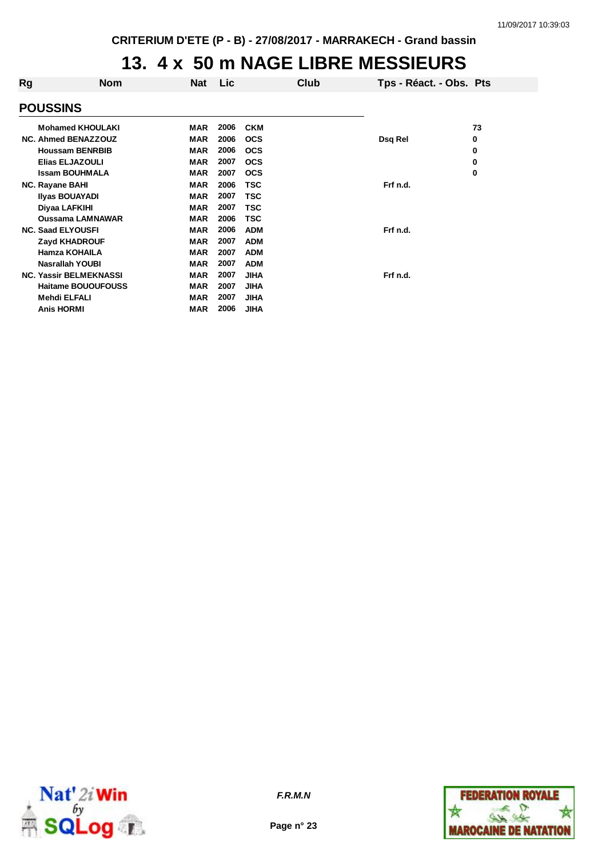#### **13. 4 x 50 m NAGE LIBRE MESSIEURS**

| Rg | <b>Nom</b>                    | Nat        | <b>Lic</b> |             | Club | Tps - Réact. - Obs. Pts |    |
|----|-------------------------------|------------|------------|-------------|------|-------------------------|----|
|    | <b>POUSSINS</b>               |            |            |             |      |                         |    |
|    | <b>Mohamed KHOULAKI</b>       | <b>MAR</b> | 2006       | <b>CKM</b>  |      |                         | 73 |
|    | <b>NC. Ahmed BENAZZOUZ</b>    | <b>MAR</b> | 2006       | <b>OCS</b>  |      | Dsq Rel                 | 0  |
|    | <b>Houssam BENRBIB</b>        | <b>MAR</b> | 2006       | <b>OCS</b>  |      |                         | 0  |
|    | <b>Elias ELJAZOULI</b>        | <b>MAR</b> | 2007       | <b>OCS</b>  |      |                         | 0  |
|    | <b>Issam BOUHMALA</b>         | <b>MAR</b> | 2007       | <b>OCS</b>  |      |                         | 0  |
|    | <b>NC. Rayane BAHI</b>        | <b>MAR</b> | 2006       | <b>TSC</b>  |      | Frf n.d.                |    |
|    | <b>Ilyas BOUAYADI</b>         | <b>MAR</b> | 2007       | <b>TSC</b>  |      |                         |    |
|    | Diyaa LAFKIHI                 | <b>MAR</b> | 2007       | TSC         |      |                         |    |
|    | <b>Oussama LAMNAWAR</b>       | <b>MAR</b> | 2006       | TSC         |      |                         |    |
|    | <b>NC. Saad ELYOUSFI</b>      | <b>MAR</b> | 2006       | <b>ADM</b>  |      | Frf n.d.                |    |
|    | <b>Zayd KHADROUF</b>          | <b>MAR</b> | 2007       | <b>ADM</b>  |      |                         |    |
|    | <b>Hamza KOHAILA</b>          | <b>MAR</b> | 2007       | <b>ADM</b>  |      |                         |    |
|    | <b>Nasrallah YOUBI</b>        | <b>MAR</b> | 2007       | <b>ADM</b>  |      |                         |    |
|    | <b>NC. Yassir BELMEKNASSI</b> | <b>MAR</b> | 2007       | <b>JIHA</b> |      | Frf n.d.                |    |
|    | <b>Haitame BOUOUFOUSS</b>     | <b>MAR</b> | 2007       | <b>JIHA</b> |      |                         |    |
|    | Mehdi ELFALI                  | <b>MAR</b> | 2007       | <b>JIHA</b> |      |                         |    |
|    | <b>Anis HORMI</b>             | MAR        | 2006       | <b>JIHA</b> |      |                         |    |